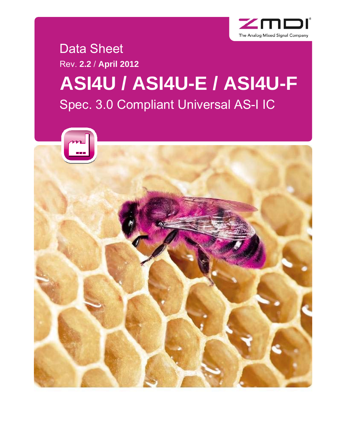

### Data Sheet Rev. **2.2** / **April 2012**

# **ASI4U / ASI4U-E / ASI4U-F**  Spec. 3.0 Compliant Universal AS-I IC

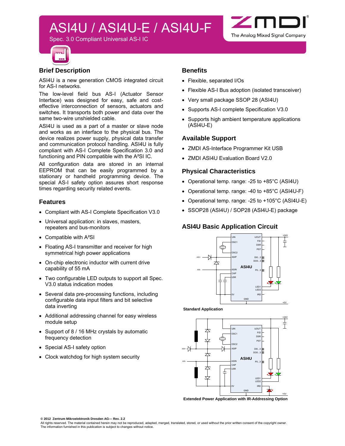Spec. 3.0 Compliant Universal AS-I IC



#### **Brief Description**

ASI4U is a new generation CMOS integrated circuit for AS-I networks.

The low-level field bus AS-I (Actuator Sensor Interface) was designed for easy, safe and costeffective interconnection of sensors, actuators and switches. It transports both power and data over the same two-wire unshielded cable.

ASI4U is used as a part of a master or slave node and works as an interface to the physical bus. The device realizes power supply, physical data transfer and communication protocol handling. ASI4U is fully compliant with AS-I Complete Specification 3.0 and functioning and PIN compatible with the A²SI IC.

All configuration data are stored in an internal EEPROM that can be easily programmed by a stationary or handheld programming device. The special AS-I safety option assures short response times regarding security related events.

#### **Features**

- Compliant with AS-I Complete Specification V3.0
- Universal application: in slaves, masters, repeaters and bus-monitors
- Compatible with A<sup>2</sup>SI
- Floating AS-I transmitter and receiver for high symmetrical high power applications
- On-chip electronic inductor with current drive capability of 55 mA
- Two configurable LED outputs to support all Spec. V3.0 status indication modes
- Several data pre-processing functions, including configurable data input filters and bit selective data inverting
- Additional addressing channel for easy wireless module setup
- Support of 8 / 16 MHz crystals by automatic frequency detection
- Special AS-I safety option
- Clock watchdog for high system security

#### **Benefits**

- Flexible, separated I/Os
- Flexible AS-I Bus adoption (isolated transceiver)

 $\angle$ m

The Analog Mixed Signal Company

- Very small package SSOP 28 (ASI4U)
- Supports AS-I complete Specification V3.0
- Supports high ambient temperature applications (ASI4U-E)

#### **Available Support**

- ZMDI AS-Interface Programmer Kit USB
- ZMDI ASI4U Evaluation Board V2.0

#### **Physical Characteristics**

- Operational temp. range: -25 to +85°C (ASI4U)
- Operational temp. range: -40 to +85°C (ASI4U-F)
- Operational temp. range: -25 to +105°C (ASI4U-E)
- SSOP28 (ASI4U) / SOP28 (ASI4U-E) package

#### **ASI4U Basic Application Circuit**



**Standard Application**



**Extended Power Application with IR-Addressing Option**

**© 2012 Zentrum Mikroelektronik Dresden AG— Rev. 2.2** 

All rights reserved. The material contained herein may not be reproduced, adapted, merged, translated, stored, or used without the prior written consent of the copyright owner.<br>The information furnished in this publication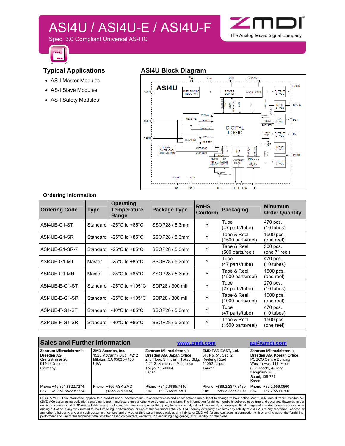Spec. 3.0 Compliant Universal AS-I IC



#### **Typical Applications**

- AS-I Master Modules
- AS-I Slave Modules
- AS-I Safety Modules

#### **ASI4U Block Diagram**



Zm

The Analog Mixed Signal Company

#### **Ordering Information**

| <b>Ordering Code</b> | Type     | <b>Operating</b><br>Temperature<br>Range | Package Type    | <b>RoHS</b><br>Conform | <b>Packaging</b>                 | <b>Minumum</b><br><b>Order Quantity</b> |
|----------------------|----------|------------------------------------------|-----------------|------------------------|----------------------------------|-----------------------------------------|
| ASI4UE-G1-ST         | Standard | -25 $^{\circ}$ C to +85 $^{\circ}$ C     | SSOP28 / 5.3mm  | Y                      | Tube<br>(47 parts/tube)          | 470 pcs.<br>$(10 \text{ tubes})$        |
| ASI4UE-G1-SR         | Standard | -25 $^{\circ}$ C to +85 $^{\circ}$ C     | SSOP28 / 5.3mm  | Υ                      | Tape & Reel<br>(1500 parts/reel) | 1500 pcs.<br>(one reel)                 |
| ASI4UE-G1-SR-7       | Standard | -25°C to +85°C                           | SSOP28 / 5.3mm  | Υ                      | Tape & Reel<br>(500 parts/reel)  | 500 pcs.<br>(one 7" reel)               |
| ASI4UE-G1-MT         | Master   | -25 $^{\circ}$ C to +85 $^{\circ}$ C     | SSOP28 / 5.3mm  | Υ                      | Tube<br>(47 parts/tube)          | 470 pcs.<br>$(10 \text{ tubes})$        |
| ASI4UE-G1-MR         | Master   | -25 $^{\circ}$ C to +85 $^{\circ}$ C     | SSOP28 / 5.3mm  | Υ                      | Tape & Reel<br>(1500 parts/reel) | 1500 pcs.<br>(one reel)                 |
| ASI4UE-E-G1-ST       | Standard | -25 $^{\circ}$ C to +105 $^{\circ}$ C    | SOP28 / 300 mil | Υ                      | Tube<br>(27 parts/tube)          | 270 pcs.<br>$(10$ tubes)                |
| ASI4UE-E-G1-SR       | Standard | -25 $^{\circ}$ C to +105 $^{\circ}$ C    | SOP28 / 300 mil | Y                      | Tape & Reel<br>(1000 parts/reel) | 1000 pcs.<br>(one reel)                 |
| ASI4UE-F-G1-ST       | Standard | -40°C to +85°C                           | SSOP28 / 5.3mm  | Υ                      | Tube<br>(47 parts/tube)          | 470 pcs.<br>$(10 \t{tubes})$            |
| ASI4UE-F-G1-SR       | Standard | -40 $^{\circ}$ C to +85 $^{\circ}$ C     | SSOP28 / 5.3mm  | Υ                      | Tape & Reel<br>(1500 parts/reel) | 1500 pcs.<br>(one reel)                 |

| <b>Sales and Further Information</b>                                                 |                                                                                  | www.zmdi.com                                                                                                                                        | asi@zmdi.com                                                                        |                                                                                                                                                                                |
|--------------------------------------------------------------------------------------|----------------------------------------------------------------------------------|-----------------------------------------------------------------------------------------------------------------------------------------------------|-------------------------------------------------------------------------------------|--------------------------------------------------------------------------------------------------------------------------------------------------------------------------------|
| Zentrum Mikroelektronik<br>Dresden AG<br>Grenzstrasse 28<br>01109 Dresden<br>Germany | ZMD America, Inc.<br>1525 McCarthy Blvd., #212<br>Milpitas, CA 95035-7453<br>USA | Zentrum Mikroelektronik<br>Dresden AG, Japan Office<br>2nd Floor, Shinbashi Tokyu Bldg.<br>4-21-3, Shinbashi, Minato-ku<br>Tokyo, 105-0004<br>Japan | ZMD FAR EAST, Ltd.<br>3F, No. 51, Sec. 2,<br>Keelung Road<br>11052 Taipei<br>Taiwan | <b>Zentrum Mikroelektronik</b><br>Dresden AG. Korean Office<br>POSCO Centre Building<br>West Tower, 11th Floor<br>892 Daechi, 4-Dong,<br>Kangnam-Gu<br>Seoul. 135-777<br>Korea |
| Phone +49.351.8822.7274<br>Fax +49.351.8822.87274                                    | Phone +855-ASK-ZMDI<br>$(+855.275.9634)$                                         | Phone +81.3.6895.7410<br>Fax<br>+81.3.6895.7301                                                                                                     | Phone +886.2.2377.8189<br>+886.2.2377.8199<br>Fax                                   | Phone +82.2.559.0660<br>Fax<br>+82.2.559.0700                                                                                                                                  |

<u>DISCLAIMER</u>: This information applies to a product under development. Its characteristics and specifications are subject to change without notice. Zentrum Mikroelektronik Dresden AG<br>(ZMD AG) assumes no obligation regardin any other third party, and any such customer, licensee and any other third party hereby waives any liability of ZMD AG for any damages in connection with or arising out of the furnishing,<br>performance or use of this technic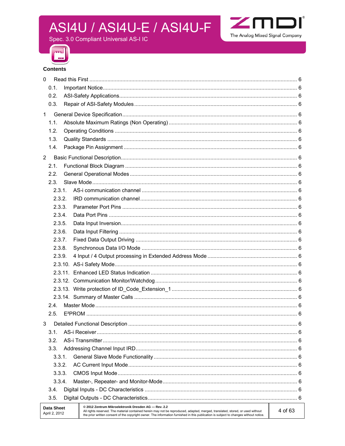

Spec. 3.0 Compliant Universal AS-I IC



#### **Contents**

| $\mathbf{0}$                       |                                                                                                                                                                                                                                                                                                                                            |  |
|------------------------------------|--------------------------------------------------------------------------------------------------------------------------------------------------------------------------------------------------------------------------------------------------------------------------------------------------------------------------------------------|--|
| 0.1.                               |                                                                                                                                                                                                                                                                                                                                            |  |
| 0.2.                               |                                                                                                                                                                                                                                                                                                                                            |  |
| 0.3.                               |                                                                                                                                                                                                                                                                                                                                            |  |
| $\mathbf{1}$                       |                                                                                                                                                                                                                                                                                                                                            |  |
| 1.1.                               |                                                                                                                                                                                                                                                                                                                                            |  |
| 1.2.                               |                                                                                                                                                                                                                                                                                                                                            |  |
| 1.3.                               |                                                                                                                                                                                                                                                                                                                                            |  |
| 1.4.                               |                                                                                                                                                                                                                                                                                                                                            |  |
| $\overline{2}$                     |                                                                                                                                                                                                                                                                                                                                            |  |
| 2.1.                               |                                                                                                                                                                                                                                                                                                                                            |  |
| 2.2.                               |                                                                                                                                                                                                                                                                                                                                            |  |
| 2.3.                               |                                                                                                                                                                                                                                                                                                                                            |  |
| 2.3.1                              |                                                                                                                                                                                                                                                                                                                                            |  |
| 2.3.2.                             |                                                                                                                                                                                                                                                                                                                                            |  |
| 2.3.3.                             |                                                                                                                                                                                                                                                                                                                                            |  |
| 2.3.4.                             |                                                                                                                                                                                                                                                                                                                                            |  |
| 2.3.5.                             |                                                                                                                                                                                                                                                                                                                                            |  |
| 2.3.6.                             |                                                                                                                                                                                                                                                                                                                                            |  |
| 2.3.7.                             |                                                                                                                                                                                                                                                                                                                                            |  |
| 2.3.8.                             |                                                                                                                                                                                                                                                                                                                                            |  |
| 2.3.9.                             |                                                                                                                                                                                                                                                                                                                                            |  |
|                                    |                                                                                                                                                                                                                                                                                                                                            |  |
|                                    |                                                                                                                                                                                                                                                                                                                                            |  |
|                                    |                                                                                                                                                                                                                                                                                                                                            |  |
|                                    |                                                                                                                                                                                                                                                                                                                                            |  |
|                                    |                                                                                                                                                                                                                                                                                                                                            |  |
| 2.4.                               |                                                                                                                                                                                                                                                                                                                                            |  |
| 2.5.                               |                                                                                                                                                                                                                                                                                                                                            |  |
|                                    |                                                                                                                                                                                                                                                                                                                                            |  |
| 3                                  |                                                                                                                                                                                                                                                                                                                                            |  |
| 3.1.                               |                                                                                                                                                                                                                                                                                                                                            |  |
| 3.2.                               |                                                                                                                                                                                                                                                                                                                                            |  |
| 3.3.                               |                                                                                                                                                                                                                                                                                                                                            |  |
| 3.3.1.                             |                                                                                                                                                                                                                                                                                                                                            |  |
| 3.3.2.                             |                                                                                                                                                                                                                                                                                                                                            |  |
| 3.3.3.                             |                                                                                                                                                                                                                                                                                                                                            |  |
| 3.3.4.                             |                                                                                                                                                                                                                                                                                                                                            |  |
| 3.4.                               |                                                                                                                                                                                                                                                                                                                                            |  |
| 3.5.                               |                                                                                                                                                                                                                                                                                                                                            |  |
| <b>Data Sheet</b><br>April 2, 2012 | @ 2012 Zentrum Mikroelektronik Dresden AG - Rev. 2.2<br>4 of 63<br>All rights reserved. The material contained herein may not be reproduced, adapted, merged, translated, stored, or used without<br>the prior written consent of the copyright owner. The information furnished in this publication is subject to changes without notice. |  |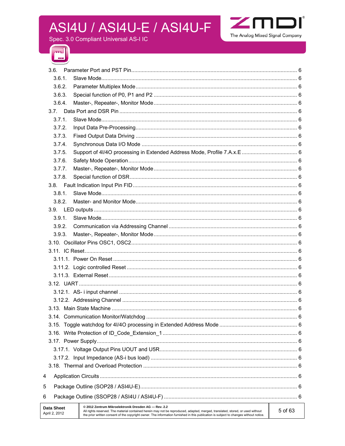

Spec. 3.0 Compliant Universal AS-I IC



| 3.6.                               |                                                                                                                                                                                                                                                                                                                                 |         |
|------------------------------------|---------------------------------------------------------------------------------------------------------------------------------------------------------------------------------------------------------------------------------------------------------------------------------------------------------------------------------|---------|
| 3.6.1.                             |                                                                                                                                                                                                                                                                                                                                 |         |
| 3.6.2.                             |                                                                                                                                                                                                                                                                                                                                 |         |
| 3.6.3.                             |                                                                                                                                                                                                                                                                                                                                 |         |
| 3.6.4.                             |                                                                                                                                                                                                                                                                                                                                 |         |
| 3.7.                               |                                                                                                                                                                                                                                                                                                                                 |         |
| 3.7.1.                             |                                                                                                                                                                                                                                                                                                                                 |         |
| 3.7.2.                             |                                                                                                                                                                                                                                                                                                                                 |         |
| 3.7.3.                             |                                                                                                                                                                                                                                                                                                                                 |         |
| 3.7.4.                             |                                                                                                                                                                                                                                                                                                                                 |         |
| 3.7.5.                             |                                                                                                                                                                                                                                                                                                                                 |         |
| 3.7.6.                             |                                                                                                                                                                                                                                                                                                                                 |         |
| 3.7.7.                             |                                                                                                                                                                                                                                                                                                                                 |         |
| 3.7.8.                             |                                                                                                                                                                                                                                                                                                                                 |         |
|                                    |                                                                                                                                                                                                                                                                                                                                 |         |
| 3.8.1.                             |                                                                                                                                                                                                                                                                                                                                 |         |
| 3.8.2.                             |                                                                                                                                                                                                                                                                                                                                 |         |
|                                    |                                                                                                                                                                                                                                                                                                                                 |         |
| 3.9.1.                             |                                                                                                                                                                                                                                                                                                                                 |         |
| 3.9.2.                             |                                                                                                                                                                                                                                                                                                                                 |         |
| 3.9.3.                             |                                                                                                                                                                                                                                                                                                                                 |         |
|                                    |                                                                                                                                                                                                                                                                                                                                 |         |
|                                    |                                                                                                                                                                                                                                                                                                                                 |         |
|                                    |                                                                                                                                                                                                                                                                                                                                 |         |
|                                    |                                                                                                                                                                                                                                                                                                                                 |         |
|                                    |                                                                                                                                                                                                                                                                                                                                 |         |
|                                    |                                                                                                                                                                                                                                                                                                                                 |         |
|                                    |                                                                                                                                                                                                                                                                                                                                 |         |
|                                    |                                                                                                                                                                                                                                                                                                                                 |         |
|                                    |                                                                                                                                                                                                                                                                                                                                 |         |
|                                    |                                                                                                                                                                                                                                                                                                                                 |         |
|                                    |                                                                                                                                                                                                                                                                                                                                 |         |
|                                    |                                                                                                                                                                                                                                                                                                                                 |         |
|                                    |                                                                                                                                                                                                                                                                                                                                 |         |
|                                    |                                                                                                                                                                                                                                                                                                                                 |         |
|                                    |                                                                                                                                                                                                                                                                                                                                 |         |
|                                    |                                                                                                                                                                                                                                                                                                                                 |         |
| 4                                  |                                                                                                                                                                                                                                                                                                                                 |         |
| 5                                  |                                                                                                                                                                                                                                                                                                                                 |         |
| 6                                  |                                                                                                                                                                                                                                                                                                                                 |         |
| <b>Data Sheet</b><br>April 2, 2012 | @ 2012 Zentrum Mikroelektronik Dresden AG - Rev. 2.2<br>All rights reserved. The material contained herein may not be reproduced, adapted, merged, translated, stored, or used without<br>the prior written consent of the copyright owner. The information furnished in this publication is subject to changes without notice. | 5 of 63 |
|                                    |                                                                                                                                                                                                                                                                                                                                 |         |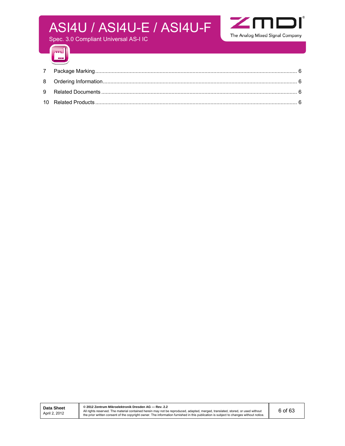

Spec. 3.0 Compliant Universal AS-I IC



**© 2012 Zentrum Mikroelektronik Dresden AG — Rev. 2.2**  All rights reserved. The material contained herein may not be reproduced, adapted, merged, translated, stored, or used without<br>the prior written consent of the copyright owner. The information furnished in this publication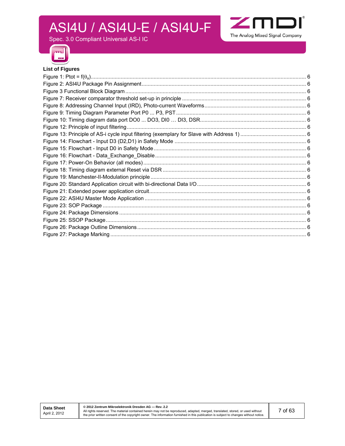

Spec. 3.0 Compliant Universal AS-I IC



#### **List of Figures**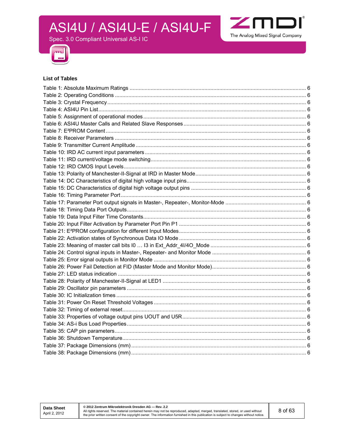Spec. 3.0 Compliant Universal AS-I IC





#### **List of Tables**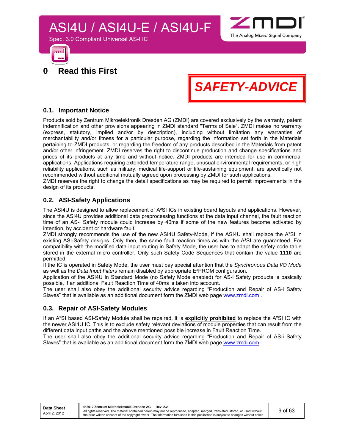



**0 Read this First** 

Spec. 3.0 Compliant Universal AS-I IC

*SAFETY-ADVICE*

#### **0.1. Important Notice**

Products sold by Zentrum Mikroelektronik Dresden AG (ZMDI) are covered exclusively by the warranty, patent indemnification and other provisions appearing in ZMDI standard "Terms of Sale". ZMDI makes no warranty (express, statutory, implied and/or by description), including without limitation any warranties of merchantability and/or fitness for a particular purpose, regarding the information set forth in the Materials pertaining to ZMDI products, or regarding the freedom of any products described in the Materials from patent and/or other infringement. ZMDI reserves the right to discontinue production and change specifications and prices of its products at any time and without notice. ZMDI products are intended for use in commercial applications. Applications requiring extended temperature range, unusual environmental requirements, or high reliability applications, such as military, medical life-support or life-sustaining equipment, are specifically not recommended without additional mutually agreed upon processing by ZMDI for such applications.

ZMDI reserves the right to change the detail specifications as may be required to permit improvements in the design of its products.

#### **0.2. ASI-Safety Applications**

The ASI4U is designed to allow replacement of A<sup>2</sup>SI ICs in existing board layouts and applications. However, since the ASI4U provides additional data preprocessing functions at the data input channel, the fault reaction time of an AS-i Safety module could increase by 40ms if some of the new features become activated by intention, by accident or hardware fault.

ZMDI strongly recommends the use of the new ASI4U Safety-Mode, if the ASI4U shall replace the A²SI in existing ASI-Safety designs. Only then, the same fault reaction times as with the A²SI are guaranteed. For compatibility with the modified data input routing in Safety Mode, the user has to adapt the safety code table stored in the external micro controller. Only such Safety Code Sequences that contain the value **1110** are permitted.

If the IC is operated in Safety Mode, the user must pay special attention that the *Synchronous Data I/O Mode* as well as the *Data Input Filters* remain disabled by appropriate E²PROM configuration.

Application of the ASI4U in Standard Mode (no Safety Mode enabled) for AS-i Safety products is basically possible, if an additional Fault Reaction Time of 40ms is taken into account.

The user shall also obey the additional security advice regarding "Production and Repair of AS-i Safety Slaves" that is available as an additional document form the ZMDI web page www.zmdi.com .

#### **0.3. Repair of ASI-Safety Modules**

If an A²SI based ASI-Safety Module shall be repaired, it is **explicitly prohibited** to replace the A²SI IC with the newer ASI4U IC. This is to exclude safety relevant deviations of module properties that can result from the different data input paths and the above mentioned possible increase in Fault Reaction Time.

The user shall also obey the additional security advice regarding "Production and Repair of AS-i Safety Slaves" that is available as an additional document form the ZMDI web page www.zmdi.com .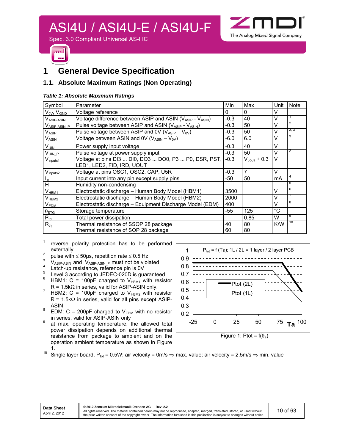

### **1 General Device Specification**

#### **1.1. Absolute Maximum Ratings (Non Operating)**

#### *Table 1: Absolute Maximum Ratings*

| Symbol                   | Parameter                                                 | Min    | Max              | Unit           | <b>Note</b> |
|--------------------------|-----------------------------------------------------------|--------|------------------|----------------|-------------|
| $V_{0V}$ , $V_{GND}$     | Voltage reference                                         | 0      | $\Omega$         | V              |             |
| V <sub>ASIP-ASIN</sub>   | Voltage difference between ASIP and ASIN (VASIP - VASIN)  | $-0.3$ | 40               | V              |             |
| V <sub>ASIP-ASIN P</sub> | Pulse voltage between ASIP and ASIN (VASIP - VASIN)       | $-0.3$ | 50               | $\vee$         | 2           |
| $V_{ASIP}$               | Pulse voltage between ASIP and 0V ( $V_{ASIP} - V_{0V}$ ) | $-0.3$ | 50               | $\vee$         | 2, 3        |
| <b>VASIN</b>             | Voltage between ASIN and 0V ( $V_{ASIN} - V_{OV}$ )       | $-6.0$ | 6.0              | V              | 3           |
| $V_{UIN}$                | Power supply input voltage                                | $-0.3$ | 40               | V              |             |
| V <sub>UIN P</sub>       | Pulse voltage at power supply input                       | $-0.3$ | 50               | $\vee$         | 2           |
| $V_{\text{inputs1}}$     | Voltage at pins DI3  DI0, DO3  DO0, P3  P0, DSR, PST,     | $-0.3$ | $V_{UOUT} + 0.3$ | $\vee$         |             |
|                          | LED1, LED2, FID, IRD, UOUT                                |        |                  |                |             |
| $V_{\text{inputs2}}$     | Voltage at pins OSC1, OSC2, CAP, U5R                      | $-0.3$ | 7                | $\vee$         |             |
| $I_{in}$                 | Input current into any pin except supply pins             | $-50$  | 50               | m <sub>A</sub> | 4           |
| $\overline{H}$           | Humidity non-condensing                                   |        |                  |                | 5           |
| $V_{HBM1}$               | Electrostatic discharge - Human Body Model (HBM1)         | 3500   |                  | $\vee$         | 6           |
| $V_{H\underline{B M2}}$  | Electrostatic discharge - Human Body Model (HBM2)         | 2000   |                  | $\vee$         |             |
| $V_{EDM}$                | Electrostatic discharge - Equipment Discharge Model (EDM) | 400    |                  | $\vee$         | 8           |
| $\theta_{\text{STG}}$    | Storage temperature                                       | $-55$  | 125              | $^{\circ}$ C   |             |
| $P_{\text{tot}}$         | Total power dissipation                                   |        | 0.85             | W              | 9           |
| $R_{\text{thj}}$         | Thermal resistance of SSOP 28 package                     | 40     | 80               | K/W            | 10          |
|                          | Thermal resistance of SOP 28 package                      | 60     | 80               |                |             |

- $1$  reverse polarity protection has to be performed
- externally<br><sup>2</sup> pulse with  $\leq$  50µs, repetition rate  $\leq$  0.5 Hz
- $\frac{3}{4}$  V<sub>ASIP-ASIN</sub> and V<sub>ASIP-ASIN</sub> p must not be violated
- Latch-up resistance, reference pin is 0V 5
- Level 3 according to JEDEC-020D is guaranteed
- 6 HBM1:  $C = 100pF$  charged to  $V_{HBM1}$  with resistor  $R = 1.5k\Omega$  in series, valid for ASIP-ASIN only.<br><sup>7</sup> HPM2:  $C = 100nE$  charged to V with res
- HBM2: C = 100pF charged to  $V_{HBM2}$  with resistor  $R = 1.5k\Omega$  in series, valid for all pins except ASIP- $\overline{a}$  ASIN
- EDM:  $C = 200pF$  charged to  $V_{EDM}$  with no resistor in series, valid for ASIP-ASIN only
- at max. operating temperature, the allowed total power dissipation depends on additional thermal resistance from package to ambient and on the operation ambient temperature as shown in Figure



Figure 1: Ptot =  $f(\theta_a)$ 

1.<br><sup>10</sup> Single layer board, P<sub>tot</sub> = 0.5W; air velocity = 0m/s  $\Rightarrow$  max. value; air velocity = 2.5m/s  $\Rightarrow$  min. value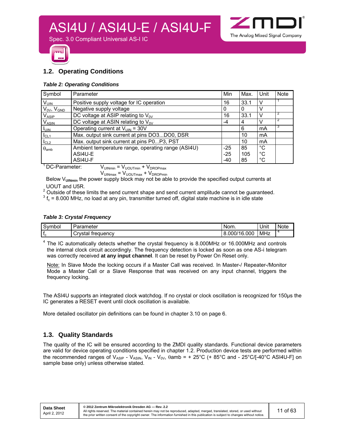

Spec. 3.0 Compliant Universal AS-I IC



#### **1.2. Operating Conditions**

#### *Table 2: Operating Conditions*

| Symbol                                                           | Parameter                                          | Min   | Max. | Unit        | Note |  |  |
|------------------------------------------------------------------|----------------------------------------------------|-------|------|-------------|------|--|--|
| $V_{UIN}$                                                        | Positive supply voltage for IC operation           | 16    | 33.1 |             |      |  |  |
| $V_{0V}$ , $V_{GND}$                                             | Negative supply voltage                            | 0     | 0    |             |      |  |  |
| $V_{ASIP}$                                                       | DC voltage at ASIP relating to $V_{0V}$            | 16    | 33.1 |             |      |  |  |
| <b>VASIN</b>                                                     | DC voltage at ASIN relating to $V_{0V}$            | -4    | 4    |             | 2    |  |  |
| $I_{UIN}$                                                        | Operating current at $V_{UIN}$ = 30V               |       | 6    | mA          | 3    |  |  |
| I <sub>CL1</sub>                                                 | Max. output sink current at pins DO3DO0, DSR       |       | 10   | mA          |      |  |  |
| I <sub>CL2</sub>                                                 | Max. output sink current at pins P0P3, PST         |       | 10   | mA          |      |  |  |
| $\theta_{\text{amb}}$                                            | Ambient temperature range, operating range (ASI4U) | $-25$ | 85   | °C          |      |  |  |
|                                                                  | ASI4U-E                                            | $-25$ | 105  | °C          |      |  |  |
|                                                                  | ASI4U-F                                            | -40   | 85   | $^{\circ}C$ |      |  |  |
| DCD<br>$\sqrt{ }$<br>$\overline{\phantom{0}}$<br>$\cdot$ $\cdot$ |                                                    |       |      |             |      |  |  |

<sup>1</sup> DC-Parameter:  $V_{\text{UINmin}} = V_{\text{UOUTmin}} + V_{\text{DROPmax}}$ 

 $V_{\text{UINmax}} = V_{\text{UOUTmax}} + V_{\text{DROPmin}}$ 

Below V<sub>UINmin</sub> the power supply block may not be able to provide the specified output currents at UOUT and U5R.

 $2$  Outside of these limits the send current shape and send current amplitude cannot be guaranteed.

 $3 f_c$  = 8.000 MHz, no load at any pin, transmitter turned off, digital state machine is in idle state

#### *Table 3: Crystal Frequency*

| $\sqrt{2}$<br>Symbol | arameter                  | Nom.             | Unit | <b>Note</b> |
|----------------------|---------------------------|------------------|------|-------------|
|                      | Crvstal<br>treauency<br>ᅬ | 16.000<br>8.000/ | MHz  |             |

 $4$  The IC automatically detects whether the crystal frequency is 8.000MHz or 16.000MHz and controls the internal clock circuit accordingly. The frequency detection is locked as soon as one AS-i telegram was correctly received **at any input channel**. It can be reset by Power On Reset only.

Note: In Slave Mode the locking occurs if a Master Call was received. In Master-/ Repeater-/Monitor Mode a Master Call or a Slave Response that was received on any input channel, triggers the frequency locking.

The ASI4U supports an integrated clock watchdog. If no crystal or clock oscillation is recognized for 150µs the IC generates a RESET event until clock oscillation is available.

More detailed oscillator pin definitions can be found in chapter 3.10 on page 6.

#### **1.3. Quality Standards**

The quality of the IC will be ensured according to the ZMDI quality standards. Functional device parameters are valid for device operating conditions specified in chapter 1.2. Production device tests are performed within the recommended ranges of  $V_{ASIP}$  -  $V_{ASIN}$ ,  $V_{IN}$  -  $V_{OV}$ ,  $\theta$ amb = + 25°C (+ 85°C and - 25°C/[-40°C ASI4U-F] on sample base only) unless otherwise stated.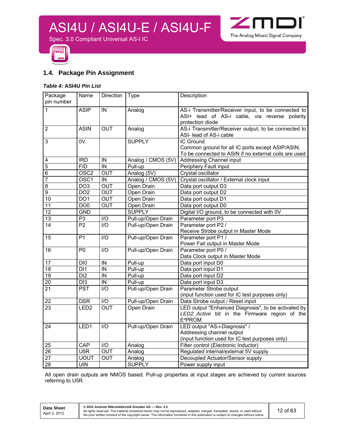

Spec. 3.0 Compliant Universal AS-I IC



#### **1.4. Package Pin Assignment**

#### *Table 4:* **ASI4U** *Pin List*

| Package<br>pin number   | Name             | Direction        | <b>Type</b>        | Description                                                                                                                 |
|-------------------------|------------------|------------------|--------------------|-----------------------------------------------------------------------------------------------------------------------------|
| $\mathbf{1}$            | <b>ASIP</b>      | IN               | Analog             | AS-i Transmitter/Receiver input, to be connected to<br>ASI+ lead of AS-i cable, via reverse polarity<br>protection diode    |
| $\overline{2}$          | <b>ASIN</b>      | <b>OUT</b>       | Analog             | AS-i Transmitter/Receiver output, to be connected to<br>ASI- lead of AS-i cable                                             |
| 3                       | 0V               |                  | <b>SUPPLY</b>      | IC Ground<br>Common ground for all IC ports except ASIP/ASIN,<br>To be connected to ASIN if no external coils are used      |
| $\overline{\mathbf{4}}$ | $\overline{RD}$  | IN               | Analog / CMOS (5V) | Addressing Channel input                                                                                                    |
| $\overline{5}$          | <b>FID</b>       | IN               | Pull-up            | Periphery Fault input                                                                                                       |
| $\overline{6}$          | OSC <sub>2</sub> | OUT              | Analog (5V)        | Crystal oscillator                                                                                                          |
| $\overline{7}$          | OSC <sub>1</sub> | IN               | Analog / CMOS (5V) | Crystal oscillator / External clock input                                                                                   |
| 8                       | DO <sub>3</sub>  | OUT              | Open Drain         | Data port output D3                                                                                                         |
| $\overline{9}$          | DO <sub>2</sub>  | <b>OUT</b>       | Open Drain         | Data port output D2                                                                                                         |
| 10                      | DO <sub>1</sub>  | <b>OUT</b>       | Open Drain         | Data port output D1                                                                                                         |
| 11                      | DO <sub>0</sub>  | <b>OUT</b>       | Open Drain         | Data port output D0                                                                                                         |
| 12                      | <b>GND</b>       |                  | <b>SUPPLY</b>      | Digital I/O ground, to be connected with 0V                                                                                 |
| 13                      | P <sub>3</sub>   | I/O              | Pull-up/Open Drain | Parameter port P3                                                                                                           |
| 14                      | P <sub>2</sub>   | $\overline{1/O}$ | Pull-up/Open Drain | Parameter port P2 /<br>Receive Strobe output in Master Mode                                                                 |
| 15                      | $\overline{P1}$  | $\overline{1/O}$ | Pull-up/Open Drain | Parameter port P1 /<br>Power Fail output in Master Mode                                                                     |
| 16                      | P <sub>0</sub>   | I/O              | Pull-up/Open Drain | Parameter port P0 /<br>Data Clock output in Master Mode                                                                     |
| 17                      | DI0              | IN               | Pull-up            | Data port input D0                                                                                                          |
| 18                      | DI1              | IN               | Pull-up            | Data port input D1                                                                                                          |
| 19                      | DI <sub>2</sub>  | IN               | Pull-up            | Data port input D2                                                                                                          |
| 20                      | $\overline{DI3}$ | $\overline{N}$   | Pull-up            | Data port input D3                                                                                                          |
| $\overline{21}$         | $\overline{PST}$ | I/O              | Pull-up/Open Drain | Parameter Strobe output<br>(input function used for IC test purposes only)                                                  |
| 22                      | <b>DSR</b>       | I/O              | Pull-up/Open Drain | Data Strobe output / Reset input                                                                                            |
| 23                      | LED <sub>2</sub> | <b>OUT</b>       | Open Drain         | LED output "Enhanced Diagnosis", to be activated by<br>LED2_Active bit in the Firmware region of the<br>E <sup>2</sup> PROM |
| 24                      | LED1             | I/O              | Pull-up/Open Drain | LED output "AS-i-Diagnosis" /<br>Addressing channel output<br>(input function used for IC test purposes only)               |
| 25                      | <b>CAP</b>       | $\overline{1/O}$ | Analog             | Filter control (Electronic Inductor)                                                                                        |
| $\overline{26}$         | U5R              | OUT              | Analog             | Regulated internal/external 5V supply                                                                                       |
| 27                      | <b>UOUT</b>      | <b>OUT</b>       | Analog             | Decoupled Actuator/Sensor supply                                                                                            |
| 28                      | <b>UIN</b>       |                  | <b>SUPPLY</b>      | Power supply input                                                                                                          |

All open drain outputs are NMOS based. Pull-up properties at input stages are achieved by current sources referring to U5R.

**Data Sheet**  April 2, 2012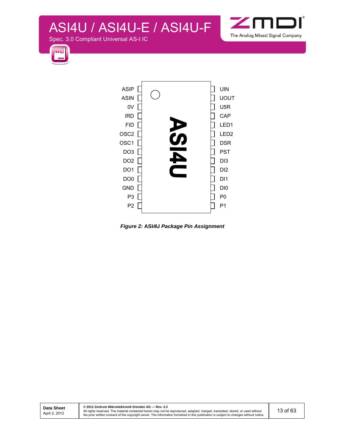Spec. 3.0 Compliant Universal AS-I IC





*Figure 2:* **ASI4U** *Package Pin Assignment* 

**© 2012 Zentrum Mikroelektronik Dresden AG — Rev. 2.2**  All rights reserved. The material contained herein may not be reproduced, adapted, merged, translated, stored, or used without<br>the prior written consent of the copyright owner. The information furnished in this publication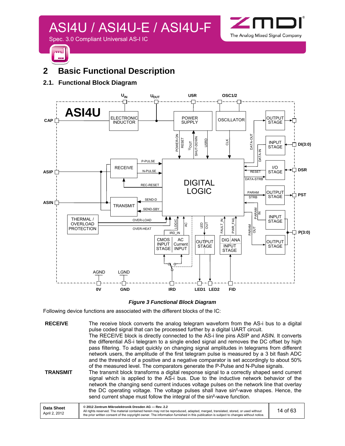

### **2 Basic Functional Description**

#### **2.1. Functional Block Diagram**



*Figure 3 Functional Block Diagram* 

Following device functions are associated with the different blocks of the IC:

**RECEIVE** The receive block converts the analog telegram waveform from the AS-i bus to a digital pulse coded signal that can be processed further by a digital UART circuit. The RECEIVE block is directly connected to the AS-i line pins ASIP and ASIN. It converts the differential AS-i telegram to a single ended signal and removes the DC offset by high pass filtering. To adapt quickly on changing signal amplitudes in telegrams from different network users, the amplitude of the first telegram pulse is measured by a 3 bit flash ADC and the threshold of a positive and a negative comparator is set accordingly to about 50% of the measured level. The comparators generate the P-Pulse and N-Pulse signals.

**TRANSMIT** The transmit block transforms a digital response signal to a correctly shaped send current signal which is applied to the AS-i bus. Due to the inductive network behavior of the network the changing send current induces voltage pulses on the network line that overlay the DC operating voltage. The voltage pulses shall have sin²-wave shapes. Hence, the send current shape must follow the integral of the sin²-wave function.

| <b>Data Sheet</b><br>April 2, 2012 | © 2012 Zentrum Mikroelektronik Dresden AG - Rev. 2.2<br>All rights reserved. The material contained herein may not be reproduced, adapted, merged, translated, stored, or used without<br>the prior written consent of the copyright owner. The information furnished in this publication is subject to changes without notice. | 14 of 63 |
|------------------------------------|---------------------------------------------------------------------------------------------------------------------------------------------------------------------------------------------------------------------------------------------------------------------------------------------------------------------------------|----------|
|------------------------------------|---------------------------------------------------------------------------------------------------------------------------------------------------------------------------------------------------------------------------------------------------------------------------------------------------------------------------------|----------|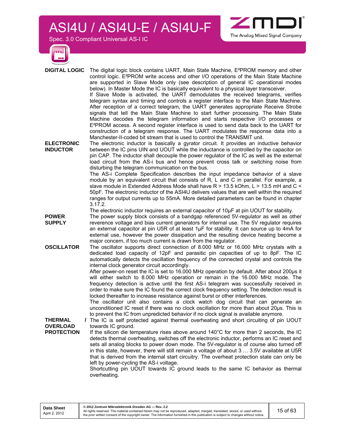Spec. 3.0 Compliant Universal AS-I IC



**DIGITAL LOGIC** The digital logic block contains UART, Main State Machine, E²PROM memory and other control logic. E²PROM write access and other I/O operations of the Main State Machine are supported in Slave Mode only (see description of general IC operational modes below). In Master Mode the IC is basically equivalent to a physical layer transceiver. If Slave Mode is activated, the UART demodulates the received telegrams, verifies telegram syntax and timing and controls a register interface to the Main State Machine. After reception of a correct telegram, the UART generates appropriate Receive Strobe signals that tell the Main State Machine to start further processing. The Main State Machine decodes the telegram information and starts respective I/O processes or

Manchester-II-coded bit stream that is used to control the TRANSMIT unit. **ELECTRONIC INDUCTOR**  The electronic inductor is basically a gyrator circuit. It provides an inductive behavior between the IC pins UIN and UOUT while the inductance is controlled by the capacitor on pin CAP. The inductor shall decouple the power regulator of the IC as well as the external load circuit from the AS-i bus and hence prevent cross talk or switching noise from disturbing the telegram communication on the bus.

> The AS-i Complete Specification describes the input impedance behavior of a slave module by an equivalent circuit that consists of R, L and C in parallel. For example, a slave module in Extended Address Mode shall have R > 13.5 kOhm, L > 13.5 mH and C < 50pF. The electronic inductor of the ASI4U delivers values that are well within the required ranges for output currents up to 55mA. More detailed parameters can be found in chapter 3.17.2.

> E²PROM access. A second register interface is used to send data back to the UART for construction of a telegram response. The UART modulates the response data into a

The Analog Mixed Signal Company

The electronic inductor requires an external capacitor of 10µF at pin UOUT for stability.

- **POWER SUPPLY**  The power supply block consists of a bandgap referenced 5V-regulator as well as other reverence voltage and bias current generators for internal use. The 5V regulator requires an external capacitor at pin U5R of at least 1µF for stability. It can source up to 4mA for external use, however the power dissipation and the resulting device heating become a major concern, if too much current is drawn from the regulator.
- **OSCILLATOR** The oscillator supports direct connection of 8.000 MHz or 16.000 MHz crystals with a dedicated load capacity of 12pF and parasitic pin capacities of up to 8pF. The IC automatically detects the oscillation frequency of the connected crystal and controls the internal clock generator circuit accordingly.

After power-on reset the IC is set to 16.000 MHz operation by default. After about 200µs it will either switch to 8.000 MHz operation or remain in the 16.000 MHz mode. The frequency detection is active until the first AS-i telegram was successfully received in order to make sure the IC found the correct clock frequency setting. The detection result is locked thereafter to increase resistance against burst or other interferences.

The oscillator unit also contains a clock watch dog circuit that can generate an unconditioned IC reset if there was no clock oscillation for more than about 20µs. This is to prevent the IC from unpredicted behavior if no clock signal is available anymore.

The IC is self protected against thermal overheating and short circuiting of pin UOUT

**THERMAL OVERLOAD** 

**PROTECTION**  towards IC ground. If the silicon die temperature rises above around 140°C for more than 2 seconds, the IC detects thermal overheating, switches off the electronic inductor, performs an IC reset and sets all analog blocks to power down mode. The 5V-regulator is of course also turned off in this state, however, there will still remain a voltage of about 3 … 3.5V available at U5R

that is derived from the internal start circuitry. The overheat protection state can only be left by power-cycling the AS-i voltage.

Shortcutting pin UOUT towards IC ground leads to the same IC behavior as thermal overheating.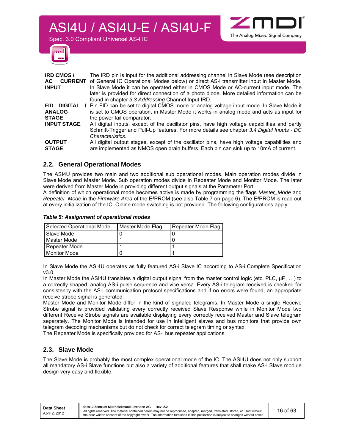Spec. 3.0 Compliant Universal AS-I IC



| <b>IRD CMOS/</b>      | The IRD pin is input for the additional addressing channel in Slave Mode (see description              |
|-----------------------|--------------------------------------------------------------------------------------------------------|
| AC .                  | <b>CURRENT</b> of General IC Operational Modes below) or direct AS-i transmitter input in Master Mode. |
| <b>INPUT</b>          | In Slave Mode it can be operated either in CMOS Mode or AC-current input mode. The                     |
|                       | later is provided for direct connection of a photo diode. More detailed information can be             |
|                       | found in chapter 3.3 Addressing Channel Input IRD.                                                     |
| DIGITAL<br><b>FID</b> | Pin FID can be set to digital CMOS mode or analog voltage input mode. In Slave Mode it                 |
| <b>ANALOG</b>         | is set to CMOS operation, in Master Mode it works in analog mode and acts as input for                 |
| <b>STAGE</b>          | the power fail comparator.                                                                             |
| <b>INPUT STAGE</b>    | All digital inputs, except of the oscillator pins, have high voltage capabilities and partly           |
|                       | Schmitt-Trigger and Pull-Up features. For more details see chapter 3.4 Digital Inputs - DC             |
|                       | Characteristics.                                                                                       |
| <b>OUTPUT</b>         | All digital output stages, except of the oscillator pins, have high voltage capabilities and           |
| <b>STAGE</b>          | are implemented as NMOS open drain buffers. Each pin can sink up to 10mA of current.                   |
|                       |                                                                                                        |

#### **2.2. General Operational Modes**

The ASI4U provides two main and two additional sub operational modes. Main operation modes divide in Slave Mode and Master Mode. Sub operation modes divide in Repeater Mode and Monitor Mode. The later were derived from Master Mode in providing different output signals at the Parameter Port.

A definition of which operational mode becomes active is made by programming the flags *Master\_Mode* and *Repeater\_Mode* in the *Firmware Area* of the E²PROM (see also Table 7 on page 6). The E²PROM is read out at every initialization of the IC. Online mode switching is not provided. The following configurations apply:

#### *Table 5: Assignment of operational modes*

| Selected Operational Mode | Master Mode Flag | Repeater Mode Flag |
|---------------------------|------------------|--------------------|
| I Slave Mode              |                  |                    |
| Master Mode               |                  |                    |
| Repeater Mode             |                  |                    |
| <b>Monitor Mode</b>       |                  |                    |

In Slave Mode the ASI4U operates as fully featured AS-i Slave IC according to AS-i Complete Specification v3.0.

In Master Mode the ASI4U translates a digital output signal from the master control logic (etc. PLC, µP, ...) to a correctly shaped, analog AS-i pulse sequence and vice versa. Every AS-i telegram received is checked for consistency with the AS-i communication protocol specifications and if no errors were found, an appropriate receive strobe signal is generated.

Master Mode and Monitor Mode differ in the kind of signaled telegrams. In Master Mode a single Receive Strobe signal is provided validating every correctly received Slave Response while in Monitor Mode two different Receive Strobe signals are available displaying every correctly received Master and Slave telegram separately. The Monitor Mode is intended for use in intelligent slaves and bus monitors that provide own telegram decoding mechanisms but do not check for correct telegram timing or syntax.

The Repeater Mode is specifically provided for AS-i bus repeater applications.

#### **2.3. Slave Mode**

The Slave Mode is probably the most complex operational mode of the IC. The ASI4U does not only support all mandatory AS-i Slave functions but also a variety of additional features that shall make AS-i Slave module design very easy and flexible.

The Analog Mixed Signal Company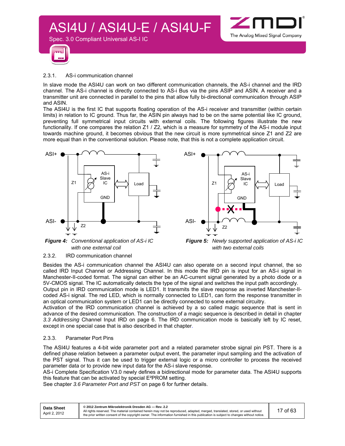



#### 2.3.1. AS-i communication channel

Spec. 3.0 Compliant Universal AS-I IC

In slave mode the ASI4U can work on two different communication channels, the AS-i channel and the IRD channel. The AS-i channel is directly connected to AS-i Bus via the pins ASIP and ASIN. A receiver and a transmitter unit are connected in parallel to the pins that allow fully bi-directional communication through ASIP and ASIN.

The ASI4U is the first IC that supports floating operation of the AS-i receiver and transmitter (within certain limits) in relation to IC ground. Thus far, the ASIN pin always had to be on the same potential like IC ground, preventing full symmetrical input circuits with external coils. The following figures illustrate the new functionality. If one compares the relation Z1 / Z2, which is a measure for symmetry of the AS-i module input towards machine ground, it becomes obvious that the new circuit is more symmetrical since Z1 and Z2 are more equal than in the conventional solution. Please note, that this is not a complete application circuit.





*Figure 4: Conventional application of AS-i IC with one external coil* 



#### 2.3.2. IRD communication channel

Besides the AS-i communication channel the ASI4U can also operate on a second input channel, the so called IRD Input Channel or Addressing Channel. In this mode the IRD pin is input for an AS-i signal in Manchester-II-coded format. The signal can either be an AC-current signal generated by a photo diode or a 5V-CMOS signal. The IC automatically detects the type of the signal and switches the input path accordingly. Output pin in IRD communication mode is LED1. It transmits the slave response as inverted Manchester-IIcoded AS-i signal. The red LED, which is normally connected to LED1, can form the response transmitter in an optical communication system or LED1 can be directly connected to some external circuitry.

Activation of the IRD communication channel is achieved by a so called magic sequence that is sent in advance of the desired communication. The construction of a magic sequence is described in detail in chapter *3.3 Addressing* Channel Input IRD on page 6. The IRD communication mode is basically left by IC reset, except in one special case that is also described in that chapter.

#### 2.3.3. Parameter Port Pins

The ASI4U features a 4-bit wide parameter port and a related parameter strobe signal pin PST. There is a defined phase relation between a parameter output event, the parameter input sampling and the activation of the PST signal. Thus it can be used to trigger external logic or a micro controller to process the received parameter data or to provide new input data for the AS-i slave response.

AS-i Complete Specification V3.0 newly defines a bidirectional mode for parameter data. The ASI4U supports this feature that can be activated by special E²PROM setting.

See chapter *3.6 Parameter Port and PST* on page 6 for further details.

| Data Sheet<br>April 2, 2012 | © 2012 Zentrum Mikroelektronik Dresden AG - Rev. 2.2<br>All rights reserved. The material contained herein may not be reproduced, adapted, merged, translated, stored, or used without<br>the prior written consent of the copyright owner. The information furnished in this publication is subject to changes without notice. | 17 of 63 |
|-----------------------------|---------------------------------------------------------------------------------------------------------------------------------------------------------------------------------------------------------------------------------------------------------------------------------------------------------------------------------|----------|
|                             |                                                                                                                                                                                                                                                                                                                                 |          |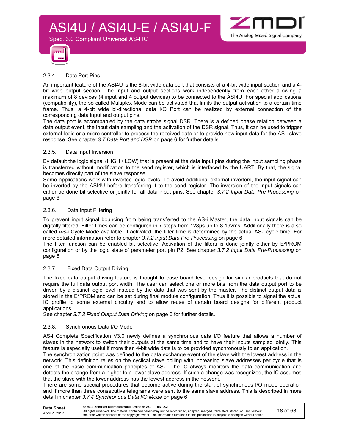



#### 2.3.4. Data Port Pins

Spec. 3.0 Compliant Universal AS-I IC

An important feature of the ASI4U is the 8-bit wide data port that consists of a 4-bit wide input section and a 4 bit wide output section. The input and output sections work independently from each other allowing a maximum of 8 devices (4 input and 4 output devices) to be connected to the ASI4U. For special applications (compatibility), the so called Multiplex Mode can be activated that limits the output activation to a certain time frame. Thus, a 4-bit wide bi-directional data I/O Port can be realized by external connection of the corresponding data input and output pins.

The data port is accompanied by the data strobe signal DSR. There is a defined phase relation between a data output event, the input data sampling and the activation of the DSR signal. Thus, it can be used to trigger external logic or a micro controller to process the received data or to provide new input data for the AS-i slave response. See chapter *3.7 Data Port and DSR* on page 6 for further details.

#### 2.3.5. Data Input Inversion

By default the logic signal (HIGH / LOW) that is present at the data input pins during the input sampling phase is transferred without modification to the send register, which is interfaced by the UART. By that, the signal becomes directly part of the slave response.

Some applications work with inverted logic levels. To avoid additional external inverters, the input signal can be inverted by the ASI4U before transferring it to the send register. The inversion of the input signals can either be done bit selective or jointly for all data input pins. See chapter *3.7.2 Input Data Pre-Processing* on page 6.

#### 2.3.6. Data Input Filtering

To prevent input signal bouncing from being transferred to the AS-i Master, the data input signals can be digitally filtered. Filter times can be configured in 7 steps from 128µs up to 8.192ms. Additionally there is a so called AS-i Cycle Mode available. If activated, the filter time is determined by the actual AS-i cycle time. For more detailed information refer to chapter *3.7.2 Input Data Pre-Processing* on page 6.

The filter function can be enabled bit selective. Activation of the filters is done jointly either by E²PROM configuration or by the logic state of parameter port pin P2. See chapter *3.7.2 Input Data Pre-Processing* on page 6.

#### 2.3.7. Fixed Data Output Driving

The fixed data output driving feature is thought to ease board level design for similar products that do not require the full data output port width. The user can select one or more bits from the data output port to be driven by a distinct logic level instead by the data that was sent by the master. The distinct output data is stored in the E²PROM and can be set during final module configuration. Thus it is possible to signal the actual IC profile to some external circuitry and to allow reuse of certain board designs for different product applications.

See chapter *3.7.3 Fixed Output Data Driving* on page 6 for further details.

#### 2.3.8. Synchronous Data I/O Mode

AS-i Complete Specification V3.0 newly defines a synchronous data I/O feature that allows a number of slaves in the network to switch their outputs at the same time and to have their inputs sampled jointly. This feature is especially useful if more than 4-bit wide data is to be provided synchronously to an application.

The synchronization point was defined to the data exchange event of the slave with the lowest address in the network. This definition relies on the cyclical slave polling with increasing slave addresses per cycle that is one of the basic communication principles of AS-i. The IC always monitors the data communication and detects the change from a higher to a lower slave address. If such a change was recognized, the IC assumes that the slave with the lower address has the lowest address in the network.

There are some special procedures that become active during the start of synchronous I/O mode operation and if more than three consecutive telegrams were sent to the same slave address. This is described in more detail in chapter *3.7.4 Synchronous Data I/O Mode* on page 6.

| Data Sheet    | © 2012 Zentrum Mikroelektronik Dresden AG - Rev. 2.2                                                                                                                                                                                                                    |          |
|---------------|-------------------------------------------------------------------------------------------------------------------------------------------------------------------------------------------------------------------------------------------------------------------------|----------|
| April 2, 2012 | All rights reserved. The material contained herein may not be reproduced, adapted, merged, translated, stored, or used without<br>the prior written consent of the copyright owner. The information furnished in this publication is subject to changes without notice. | 18 of 63 |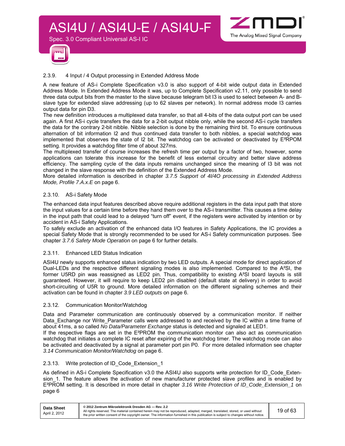



#### 2.3.9. 4 Input / 4 Output processing in Extended Address Mode

Spec. 3.0 Compliant Universal AS-I IC

A new feature of AS-i Complete Specification v3.0 is also support of 4-bit wide output data in Extended Address Mode. In Extended Address Mode it was, up to Complete Specification v2.11, only possible to send three data output bits from the master to the slave because telegram bit I3 is used to select between A- and Bslave type for extended slave addressing (up to 62 slaves per network). In normal address mode I3 carries output data for pin D3.

The new definition introduces a multiplexed data transfer, so that all 4-bits of the data output port can be used again. A first AS-i cycle transfers the data for a 2-bit output nibble only, while the second AS-i cycle transfers the data for the contrary 2-bit nibble. Nibble selection is done by the remaining third bit. To ensure continuous alternation of bit information I2 and thus continued data transfer to both nibbles, a special watchdog was implemented that observes the state of I2 bit. The watchdog can be activated or deactivated by E²RPOM setting. It provides a watchdog filter time of about 327ms.

The multiplexed transfer of course increases the refresh time per output by a factor of two, however, some applications can tolerate this increase for the benefit of less external circuitry and better slave address efficiency. The sampling cycle of the data inputs remains unchanged since the meaning of I3 bit was not changed in the slave response with the definition of the Extended Address Mode.

More detailed information is described in chapter *3.7.5 Support of 4I/4O processing in Extended Address Mode, Profile 7.A.x.E* on page 6.

#### 2.3.10. AS-i Safety Mode

The enhanced data input features described above require additional registers in the data input path that store the input values for a certain time before they hand them over to the AS-i transmitter. This causes a time delay in the input path that could lead to a delayed "turn off" event, if the registers were activated by intention or by accident in AS-i Safety Applications.

To safely exclude an activation of the enhanced data I/O features in Safety Applications, the IC provides a special Safety Mode that is strongly recommended to be used for AS-i Safety communication purposes. See chapter *3.7.6 Safety Mode Operation* on page 6 for further details.

#### 2.3.11. Enhanced LED Status Indication

ASI4U newly supports enhanced status indication by two LED outputs. A special mode for direct application of Dual-LEDs and the respective different signaling modes is also implemented. Compared to the A²SI, the former U5RD pin was reassigned as LED2 pin. Thus, compatibility to existing A²SI board layouts is still guaranteed. However, it will require to keep LED2 pin disabled (default state at delivery) in order to avoid short-circuiting of U5R to ground. More detailed information on the different signaling schemes and their activation can be found in chapter *3.9 LED outputs* on page 6.

#### 2.3.12. Communication Monitor/Watchdog

Data and Parameter communication are continuously observed by a communication monitor. If neither Data\_Exchange nor Write\_Parameter calls were addressed to and received by the IC within a time frame of about 41ms, a so called *No Data/Parameter Exchange* status is detected and signaled at LED1.

If the respective flags are set in the E²PROM the communication monitor can also act as communication watchdog that initiates a complete IC reset after expiring of the watchdog timer. The watchdog mode can also be activated and deactivated by a signal at parameter port pin P0. For more detailed information see chapter *3.14 Communication Monitor/Watchdog* on page 6.

#### 2.3.13. Write protection of ID\_Code\_Extension\_1

As defined in AS-i Complete Specification v3.0 the ASI4U also supports write protection for ID\_Code\_Extension 1. The feature allows the activation of new manufacturer protected slave profiles and is enabled by E²PROM setting. It is described in more detail in chapter *3.16 Write Protection of ID\_Code\_Extension\_1* on page 6

| Data Sheet    | © 2012 Zentrum Mikroelektronik Dresden AG - Rev. 2.2                                                                                                                                                                                                                    |          |
|---------------|-------------------------------------------------------------------------------------------------------------------------------------------------------------------------------------------------------------------------------------------------------------------------|----------|
| April 2, 2012 | All rights reserved. The material contained herein may not be reproduced, adapted, merged, translated, stored, or used without<br>the prior written consent of the copyright owner. The information furnished in this publication is subject to changes without notice. | 19 of 63 |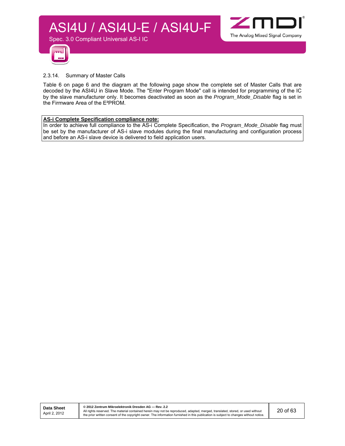



#### 2.3.14. Summary of Master Calls

Table 6 on page 6 and the diagram at the following page show the complete set of Master Calls that are decoded by the ASI4U in Slave Mode. The "Enter Program Mode" call is intended for programming of the IC by the slave manufacturer only. It becomes deactivated as soon as the *Program\_Mode\_Disable* flag is set in the Firmware Area of the E²PROM.

#### **AS-i Complete Specification compliance note:**

In order to achieve full compliance to the AS-i Complete Specification, the *Program\_Mode\_Disable* flag must be set by the manufacturer of AS-i slave modules during the final manufacturing and configuration process and before an AS-i slave device is delivered to field application users.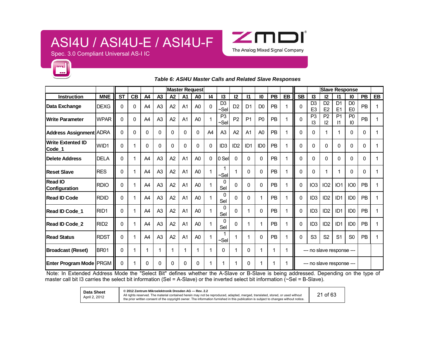

Spec. 3.0 Compliant Universal AS-I IC



#### **Master Request**<br> **Master Request**<br> **Slave Response** Instruction | MNE ST CB | A4 | A3 | A2 | A1 | A0 | 14 | 13 | 12 | 11 | 10 | PB | EB || SB | 13 | 12 | 11 | 10 | PB | EB **Data Exchange DEXG** 0 0 A4 A3 A2 A1 A0 0  $\frac{D3}{\sim}$  Sel  $\begin{bmatrix} 2 & 2 & 0 \\ 0 & 2 & 0 \end{bmatrix}$  D0 PB 1 0  $\begin{bmatrix} 0.3 \\ 0.5 \end{bmatrix}$  E3 3 | D2 | D1 | D0 | PB | 1<br>3 | E2 | E1 | E0 | PB | 1 **Write Parameter** WPAR 0 0 A4 A3 A2 A1 A0 1 P3 ~Sel $\begin{bmatrix} 2 \end{bmatrix}$  P1  $\begin{bmatrix} 20 \end{bmatrix}$  PB  $\begin{bmatrix} 1 \end{bmatrix}$  1  $\begin{bmatrix} 0 \end{bmatrix}$   $\begin{bmatrix} 23 \end{bmatrix}$ <sup>93</sup> | <sup>P2</sup> | <sup>P1</sup> | <sup>P0</sup> | PB | 1<br>3 | 12 | 11 | 10 | <sup>PB</sup> | 1 **Address Assignment |**ADRA || 0 | 0 | 0 | 0 | 0 | 0 | 0 | 0 | A4 | A3 | A2 | A1 | A0 | PB | 1 || 0 | 0 | 1 | 1 | 0 | 0 | 1 **Write Extented ID Code\_1** WID1 <sup>0</sup> <sup>1</sup> <sup>0</sup> <sup>0</sup> <sup>0</sup> <sup>0</sup> <sup>0</sup> <sup>0</sup> ID3 ID2 ID1 ID0 PB <sup>1</sup> <sup>0</sup> <sup>0</sup> <sup>0</sup> <sup>0</sup> <sup>0</sup> <sup>0</sup> <sup>1</sup> **Delete Address**S DELA || 0 | 1 | A4 | A3 | A2 | A1 | A0 | 0 |0 Sel| 0 | 0 | PB | 1 || 0 | 0 | 0 | 0 | 0 | 0 | 0 | 1 **Reset Slavee** RES 0 1 A4 A3 A2 A1 A0 1  $_{\sim}^{1}$ || 1 | 0 | 0 | PB | 1 || 0 | 0 | 1 | 1 | 0 | 0 | <br>|| 1 | 0 | 0 | PB | 1 || 0 | 0 | 1 | 1 | 0 | 0 | 1 **Read IO Read IO**<br>Configuration RDIO 0 1 | A4 | A3 | A2 | A1 | A0 | 1 | Sel | 0 | 0 | 0 | PB | 1 | 0 | IO3 | IO2 | IO1 | IO0 | PB | 1 **Read ID Code**e RDID 0 1 A4 A3 A2 A1 A0 1  $\int_{\mathsf{Sel}}$ || 0 | 0 | 1 | PB | 1 || 0 | ID3 | ID2 | ID1 | ID0 | PB | 1 **Read ID Code\_1** RID1  $\begin{bmatrix} 0 & 1 & 4 \end{bmatrix}$  A3  $\begin{bmatrix} 0 & 4 \end{bmatrix}$  A1  $\begin{bmatrix} 0 & 1 \end{bmatrix}$  A0  $\begin{bmatrix} 1 & 0 \end{bmatrix}$  <sup>0</sup> <sup>1</sup> <sup>0</sup> PB <sup>1</sup> <sup>0</sup> ID3 ID2 ID1 ID0 PB <sup>1</sup> **Read ID Code\_2** RID2 0 1 A4 A3 A2 A1 A0 1 Sel 1 | 0 | 1 | 1 | PB | 1 || 0 | ID3 | ID2 | ID1 | ID0 | PB | 1 **Read Statuss** RDST 0 1 A4 A3 A2 A1 A0 1  $\frac{1}{2}$ || 1 | 1 | 0 || PB || 1 ||| 0 || S3 || S2 || S1 || S0 || PB || 1<br>|| **Broadcast (Reset)** BR01 0 1 1 1 1 1 1 1 0 1 0 1 1 1 --- no slave response --- **Enter Program Mode** PRGM 0 1 0 0 0 0 0 1 1 1 0 1 1 1 --- no slave response ---

#### *Table 6: ASI4U Master Calls and Related Slave Responses*

 Note: In Extended Address Mode the "Select Bit" defines whether the A-Slave or B-Slave is being addressed. Depending on the type of master call bit I3 carries the select bit information (Sel = A-Slave) or the inverted select bit information  $(\sim$ Sel = B-Slave).

> **Data Sheet** April 2, 2012

**© 2012 Zentrum Mikroelektronik Dresden AG — Rev. 2.2**  All rights reserved. The material contained herein may not be reproduced, adapted, merged, translated, stored, or used without the prior written consent of the copyright owner. The information furnished in this publication is subject to changes without notice.

21 of 63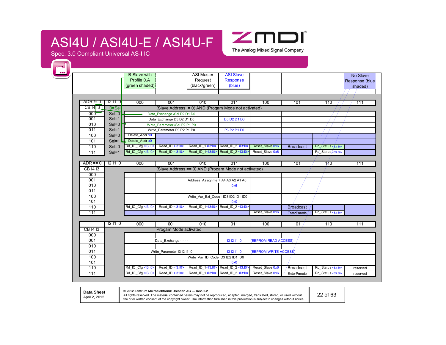

Spec. 3.0 Compliant Universal AS-I IC

| m |            |                    |                                        |                                    |                                                      |                                       |                                    |                         |                                                         |                      |
|---|------------|--------------------|----------------------------------------|------------------------------------|------------------------------------------------------|---------------------------------------|------------------------------------|-------------------------|---------------------------------------------------------|----------------------|
|   |            |                    | <b>B-Slave with</b>                    |                                    | ASI Master                                           | <b>ASI Slave</b>                      |                                    |                         |                                                         | No Slave             |
|   |            |                    | Profile 0.A                            |                                    | Request                                              | Response                              |                                    |                         |                                                         | Response (blue       |
|   |            |                    | (green shaded)                         |                                    | (black/green)                                        | (blue)                                |                                    |                         |                                                         | shaded)              |
|   |            |                    |                                        |                                    |                                                      |                                       |                                    |                         |                                                         |                      |
|   |            |                    |                                        |                                    |                                                      |                                       |                                    |                         |                                                         |                      |
|   | $ADR = 0$  | 121110             | 000                                    | 001                                | 010                                                  | 011                                   | 100                                | 101                     | 110                                                     | 111                  |
|   | CB 14 13   | $13 =$ Sel         |                                        |                                    | (Slave Address != 0) AND (Progam Mode not activated) |                                       |                                    |                         |                                                         |                      |
|   | 000        | $SeI=0$            |                                        | Data Exchange /Sel D2 D1 D0        |                                                      |                                       |                                    |                         |                                                         |                      |
|   | 001        | $SeI=1$            |                                        | Data Exchange D3 D2 D1 D0          |                                                      | <b>D3 D2 D1 D0</b>                    |                                    |                         |                                                         |                      |
|   | 010        | $Sel=0$            |                                        | Write Parameter / Sel P2 P1 P0     |                                                      |                                       |                                    |                         |                                                         |                      |
|   | 011        | $SeI=1$            | Delete Addr x0                         | Write Parameter P3 P2 P1 P0        |                                                      | P3 P2 P1 P0                           |                                    |                         |                                                         |                      |
|   | 100        | $SeI=0$<br>$SeI=1$ | Delete Addr x0                         |                                    |                                                      |                                       |                                    |                         |                                                         |                      |
|   | 101<br>110 | $SeI = 0$          | Rd_IO_Cfg <i3:10></i3:10>              | Read_ID <l3:l0></l3:l0>            | Read ID 1<13:10>                                     | Read ID 2 <13:10>                     | Reset Slave 0x6                    |                         | Rd Status <63:S0>                                       |                      |
|   |            |                    | Rd IO Cfg <13:10>                      | Read ID <13:10>                    | Read ID 1<13:10>                                     | Read ID 2 <13:10>                     | Reset Slave 0x6                    | <b>Broadcast</b>        | Rd_Status/ <s3:s0></s3:s0>                              |                      |
|   | 111        | $SeI=1$            |                                        |                                    |                                                      |                                       |                                    |                         |                                                         |                      |
|   | $ADR == 0$ | 12 11 10           | 000                                    | 001                                | 010                                                  | 011                                   | 100                                | 101                     | 1/10                                                    | 111                  |
|   | CB 1413    |                    |                                        |                                    | (Slave Address == 0) AND (Progam Mode not activated) |                                       |                                    |                         |                                                         |                      |
|   | 000        |                    |                                        |                                    |                                                      |                                       |                                    |                         |                                                         |                      |
|   | 001        |                    |                                        |                                    | Address Assignment A4 A3 A2 A1 A0                    |                                       |                                    |                         |                                                         |                      |
|   | 010        |                    |                                        |                                    |                                                      | 0x6                                   |                                    |                         |                                                         |                      |
|   | 011        |                    |                                        |                                    |                                                      |                                       |                                    |                         |                                                         |                      |
|   | 100        |                    |                                        |                                    | Write Var Ext Code1 ID3 ID2 ID1 ID0                  |                                       |                                    |                         |                                                         |                      |
|   | 101        |                    |                                        |                                    |                                                      | 0x0                                   |                                    |                         |                                                         |                      |
|   | 110        |                    | Rd_IO_Cfg <13:10>                      | Read ID <13:10>                    | Read ID 1<13:10>                                     | Read ID 2 <13:10                      |                                    | <b>Broadcast</b>        |                                                         |                      |
|   | 111        |                    |                                        |                                    |                                                      |                                       | Reset Slave 0x6                    | EnterPmode              | Rd Status <s3:s0></s3:s0>                               |                      |
|   |            |                    |                                        |                                    |                                                      |                                       |                                    |                         |                                                         |                      |
|   |            | 121110             | 000                                    | 001                                | 010                                                  | 011                                   | 100                                | 101                     | 110                                                     | 111                  |
|   | CB 1413    |                    |                                        | Progam Mode activated              |                                                      |                                       |                                    |                         |                                                         |                      |
|   | 000        |                    |                                        |                                    |                                                      |                                       |                                    |                         |                                                         |                      |
|   |            |                    |                                        |                                    |                                                      |                                       |                                    |                         |                                                         |                      |
|   | 001        |                    |                                        | Data Exchange - - - -              |                                                      | 13 12 11 10                           | (EEPROM READ ACCESS)               |                         |                                                         |                      |
|   | 010        |                    |                                        |                                    |                                                      |                                       |                                    |                         |                                                         |                      |
|   | 011        |                    |                                        | Write Parameter I3 I2 I1 I0        |                                                      | 13 12 11 10                           | (EEPROM WRITE ACCESS)              |                         |                                                         |                      |
|   | 100        |                    |                                        |                                    | Write Var ID Code ID3 ID2 ID1 ID0                    |                                       |                                    |                         |                                                         |                      |
|   | 101        |                    |                                        |                                    |                                                      | 0x0                                   |                                    |                         |                                                         |                      |
|   | 110<br>111 |                    | Rd IO Cfg <13:10><br>Rd IO Cfg <13:10> | Read ID <13:10><br>Read ID <13:10> | Read ID 1<13:10><br>Read ID 1<13:10>                 | Read ID 2 <13:10><br>Read ID 2 <13:10 | Reset Slave 0x6<br>Reset_Slave 0x6 | Broadcast<br>EnterPmode | Rd Status <s3:s0><br/>Rd_Status <s3:so></s3:so></s3:s0> | reserved<br>reserved |

**Data Sheet** April 2, 2012

**© 2012 Zentrum Mikroelektronik Dresden AG — Rev. 2.2** 

All rights reserved. The material contained herein may not be reproduced, adapted, merged, translated, stored, or used without<br>the prior written consent of the copyright owner. The information furnished in this publication

22 of 63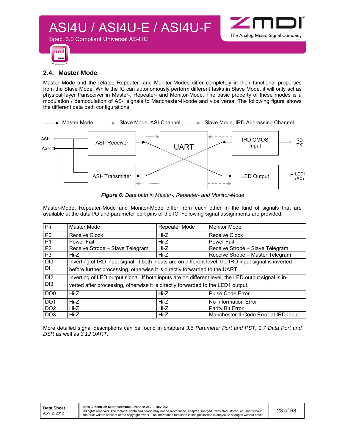



#### **2.4. Master Mode**

Spec. 3.0 Compliant Universal AS-I IC

Master Mode and the related Repeater- and Monitor-Modes differ completely in their functional properties from the Slave Mode. While the IC can autonomously perform different tasks in Slave Mode, it will only act as physical layer transceiver in Master-, Repeater- and Monitor-Mode. The basic property of these modes is a modulation / demodulation of AS-i signals to Manchester-II-code and vice versa. The following figure shows the different data path configurations.



*Figure 6: Data path in Master-, Repeater- and Monitor-Mode*

Master-Mode, Repeater-Mode and Monitor-Mode differ from each other in the kind of signals that are available at the data I/O and parameter port pins of the IC. Following signal assignments are provided:

| Pin             | Master Mode                                                                                            | Repeater Mode | <b>Monitor Mode</b>                   |  |  |  |
|-----------------|--------------------------------------------------------------------------------------------------------|---------------|---------------------------------------|--|--|--|
| P <sub>0</sub>  | Receive Clock                                                                                          | Hi-Z          | <b>Receive Clock</b>                  |  |  |  |
| P <sub>1</sub>  | Power Fail                                                                                             | Hi-Z          | <b>Power Fail</b>                     |  |  |  |
| P <sub>2</sub>  | Receive Strobe - Slave Telegram                                                                        | Hi-Z          | Receive Strobe - Slave Telegram       |  |  |  |
| P <sub>3</sub>  | Hi-Z                                                                                                   | $Hi-Z$        | Receive Strobe - Master Telegram      |  |  |  |
| DI <sub>0</sub> | Inverting of IRD input signal. If both inputs are on different level, the IRD input signal is inverted |               |                                       |  |  |  |
| D <sub>1</sub>  | before further processing, otherwise it is directly forwarded to the UART.                             |               |                                       |  |  |  |
| DI <sub>2</sub> | Inverting of LED output signal. If both inputs are on different level, the LED output signal is in-    |               |                                       |  |  |  |
| D <sub>13</sub> | verted after processing, otherwise it is directly forwarded to the LED1 output.                        |               |                                       |  |  |  |
| DO <sub>0</sub> | Hi-Z                                                                                                   | Hi-Z          | <b>Pulse Code Error</b>               |  |  |  |
| DO <sub>1</sub> | Hi-Z                                                                                                   | $Hi-Z$        | No Information Error                  |  |  |  |
| DO <sub>2</sub> | Hi-Z                                                                                                   | Hi-Z          | Parity Bit Error                      |  |  |  |
| DO <sub>3</sub> | Hi-Z                                                                                                   | Hi-Z          | Manchester-II-Code Error at IRD Input |  |  |  |

More detailed signal descriptions can be found in chapters *3.6 Parameter Port and PST*, *3.7 Data Port and DSR* as well as *3.12 UART*.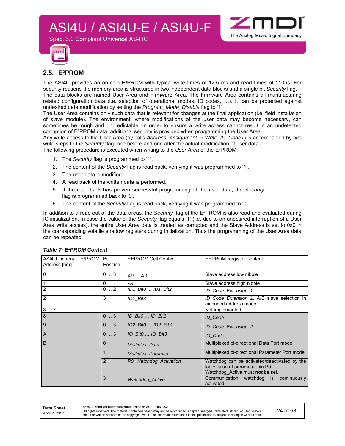



#### **2.5. E²PROM**

The ASI4U provides an on-chip E²PROM with typical write times of 12.5 ms and read times of 110ns. For security reasons the memory area is structured in two independent data blocks and a single bit *Security* flag. The data blocks are named User Area and Firmware Area. The Firmware Area contains all manufacturing related configuration data (i.e. selection of operational modes, ID codes, …). It can be protected against undesired data modification by setting the *Program\_Mode\_Disable* flag to '1'.

The User Area contains only such data that is relevant for changes at the final application (i.e. field installation of slave module). The environment, where modifications of the user data may become necessary, can sometimes be rough and unpredictable. In order to ensure a write access cannot result in an undetected corruption of E²PROM data, additional security is provided when programming the User Area.

Any write access to the User Area (by calls *Address\_Assignment* or *Write\_ID\_Code1*) is accompanied by two write steps to the *Security* flag, one before and one after the actual modification of user data.

The following procedure is executed when writing to the *User Area* of the E²PROM:

1. The *Security* flag is programmed to '1'.

Spec. 3.0 Compliant Universal AS-I IC

- 2. The content of the *Security* flag is read back, verifying it was programmed to '1'.
- 3. The user data is modified.
- 4. A read back of the written data is performed.
- 5. If the read back has proven successful programming of the user data, the *Security*  flag is programmed back to '0'.
- 6. The content of the *Security* flag is read back, verifying it was programmed to '0'.

In addition to a read out of the data areas, the *Security* flag of the E²PROM is also read and evaluated during IC initialization. In case the value of the *Security* flag equals '1' (i.e. due to an undesired interruption of a User Area write access), the entire User Area data is treated as corrupted and the Slave Address is set to 0x0 in the corresponding volatile shadow registers during initialization. Thus the programming of the User Area data can be repeated.

| ASI4U internal E <sup>2</sup> PROM Bit<br>Address [hex] | Position     | <b>EEPROM Cell Content</b> | <b>EEPROM Register Content</b>                                                                                       |  |  |  |
|---------------------------------------------------------|--------------|----------------------------|----------------------------------------------------------------------------------------------------------------------|--|--|--|
| $\mathbf 0$                                             | 03           | $AO \dots A3$              | Slave address low nibble                                                                                             |  |  |  |
| $\mathbf{1}$                                            | $\mathbf{0}$ | A4                         | Slave address high nibble                                                                                            |  |  |  |
| $\overline{2}$                                          | $0 \ldots 2$ | ID1 Bit0  ID1 Bit2         | ID_Code_Extension_1                                                                                                  |  |  |  |
| $\overline{2}$                                          | 3            | ID1 Bit3                   | ID_Code_Extension_1, A/B slave selection in<br>extended address mode                                                 |  |  |  |
| 37                                                      |              |                            | Not implemented                                                                                                      |  |  |  |
| 8                                                       | 03           | ID_Bit0  ID_Bit3           | ID Code                                                                                                              |  |  |  |
| 9                                                       | 03           | ID2 Bit0  ID2 Bit3         | ID_Code_Extension_2                                                                                                  |  |  |  |
| $\overline{A}$                                          | 03           | 10 Bit0  10 Bit3           | IO Code                                                                                                              |  |  |  |
| B                                                       | 0            | <b>Multiplex_Data</b>      | Multiplexed bi-directional Data Port mode                                                                            |  |  |  |
|                                                         |              | <b>Multiplex_Paramter</b>  | Multiplexed bi-directional Parameter Port mode                                                                       |  |  |  |
|                                                         | 2            | P0 Watchdog Activation     | Watchdog can be activated/deactivated by the<br>logic value at parameter pin P0.<br>Watchdog Active must not be set. |  |  |  |
|                                                         | 3            | Watchdog_Active            | continuously<br>Communication watchdog is<br>activated.                                                              |  |  |  |

#### *Table 7: E²PROM Content*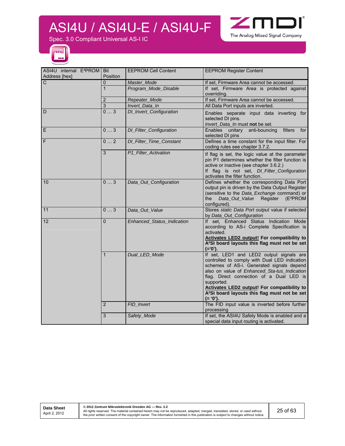

Spec. 3.0 Compliant Universal AS-I IC



| ASI4U internal E <sup>2</sup> PROM   Bit |                 | <b>EEPROM Cell Content</b> | <b>EEPROM Register Content</b>                                                |
|------------------------------------------|-----------------|----------------------------|-------------------------------------------------------------------------------|
| Address [hex]                            | Position        |                            |                                                                               |
| $\overline{C}$                           | $\Omega$        | Master_Mode                | If set, Firmware Area cannot be accessed.                                     |
|                                          | 1               | Program_Mode_Disable       | If set, Firmware Area is protected against                                    |
|                                          |                 |                            | overriding.                                                                   |
|                                          | 2               | Repeater_Mode              | If set, Firmware Area cannot be accessed.                                     |
|                                          | 3               | Invert_Data_In             | All Data Port inputs are inverted.                                            |
| D                                        | $\overline{03}$ | DI_Invert_Configuration    | Enables separate input data inverting for                                     |
|                                          |                 |                            | selected DI pins.                                                             |
|                                          |                 |                            | Invert_Data_In must not be set.                                               |
| E                                        | 03              | DI_Filter_Configuration    | Enables unitary<br>anti-bouncing<br>filters<br>for                            |
|                                          |                 |                            | selected DI pins                                                              |
| F                                        | 02              | DI_Filter_Time_Constant    | Defines a time constant for the input filter. For                             |
|                                          |                 |                            | coding rules see chapter 3.7.2.                                               |
|                                          | 3               | P1_Filter_Activation       | If flag is set, the logic value at the parameter                              |
|                                          |                 |                            | pin P1 determines whether the filter function is                              |
|                                          |                 |                            | active or inactive (see chapter 3.6.2.)                                       |
|                                          |                 |                            | If flag is not set, DI_Filter_Configuration                                   |
| 10                                       | 03              | Data_Out_Configuration     | activates the filter function.<br>Defines whether the corresponding Data Port |
|                                          |                 |                            | output pin is driven by the Data Output Register                              |
|                                          |                 |                            | (sensitive to the Data_Exchange command) or                                   |
|                                          |                 |                            | Data_Out_Value<br>Register<br>(E <sup>2</sup> PROM<br>the                     |
|                                          |                 |                            | configured).                                                                  |
| 11                                       | 03              | Data_Out_Value             | Stores static Data Port output value if selected                              |
|                                          |                 |                            | by Data_Out_Configuration                                                     |
| 12                                       | $\mathbf{0}$    | Enhanced_Status_Indication | If set, Enhanced Status Indication Mode                                       |
|                                          |                 |                            | according to AS-i Complete Specification is                                   |
|                                          |                 |                            | activated.                                                                    |
|                                          |                 |                            | <b>Activates LED2 output! For compatibility to</b>                            |
|                                          |                 |                            | A <sup>2</sup> SI board layouts this flag must not be set<br>$(= '0').$       |
|                                          | $\mathbf{1}$    | Dual_LED_Mode              | If set, LED1 and LED2 output signals are                                      |
|                                          |                 |                            | controlled to comply with Dual LED indication                                 |
|                                          |                 |                            | schemes of AS-i. Generated signals depend                                     |
|                                          |                 |                            | also on value of Enhanced_Sta-tus_Indication                                  |
|                                          |                 |                            | flag. Direct connection of a Dual LED is                                      |
|                                          |                 |                            | supported.                                                                    |
|                                          |                 |                            | Activates LED2 output! For compatibility to                                   |
|                                          |                 |                            | A <sup>2</sup> SI board layouts this flag must not be set                     |
|                                          |                 |                            | $(= '0').$                                                                    |
|                                          | $\overline{2}$  | FID_Invert                 | The FID input value is inverted before further                                |
|                                          |                 |                            | processing                                                                    |
|                                          | 3               | Safety_Mode                | If set, the ASI4U Safety Mode is enabled and a                                |
|                                          |                 |                            | special data input routing is activated.                                      |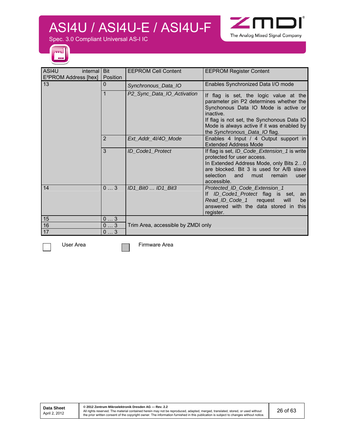

Spec. 3.0 Compliant Universal AS-I IC



| ASI4U<br>internal<br>E <sup>2</sup> PROM Address [hex] | <b>Bit</b><br>Position | <b>EEPROM Cell Content</b>         | <b>EEPROM Register Content</b>                                                                                                                                                                                                                                      |
|--------------------------------------------------------|------------------------|------------------------------------|---------------------------------------------------------------------------------------------------------------------------------------------------------------------------------------------------------------------------------------------------------------------|
| l 13                                                   | 0                      | Synchronous_Data_IO                | Enables Synchronized Data I/O mode                                                                                                                                                                                                                                  |
|                                                        |                        | P2_Sync_Data_IO_Activation         | If flag is set, the logic value at the<br>parameter pin P2 determines whether the<br>Synchonous Data IO Mode is active or<br>inactive.<br>If flag is not set, the Synchonous Data IO<br>Mode is always active if it was enabled by<br>the Synchronous_Data_IO flag. |
|                                                        | 2                      | Ext_Addr_4l/4O_Mode                | Enables 4 Input / 4 Output support in<br><b>Extended Address Mode</b>                                                                                                                                                                                               |
|                                                        | 3                      | ID_Code1_Protect                   | If flag is set, ID_Code_Extension_1 is write<br>protected for user access.<br>In Extended Address Mode, only Bits 20<br>are blocked. Bit 3 is used for A/B slave<br>selection<br>and<br>must<br>remain<br>user<br>accessible.                                       |
| 14                                                     | 03                     | ID1_Bit0  ID1_Bit3                 | Protected_ID_Code_Extension_1<br>ID_Code1_Protect flag is set,<br>lf.<br>an<br>Read_ID_Code_1<br>request<br>will<br>be<br>answered with the data stored in<br>this<br>register.                                                                                     |
| 15                                                     | 03                     |                                    |                                                                                                                                                                                                                                                                     |
| 16                                                     | 03                     | Trim Area, accessible by ZMDI only |                                                                                                                                                                                                                                                                     |
| $17$                                                   | 03                     |                                    |                                                                                                                                                                                                                                                                     |

User Area **Firmware Area**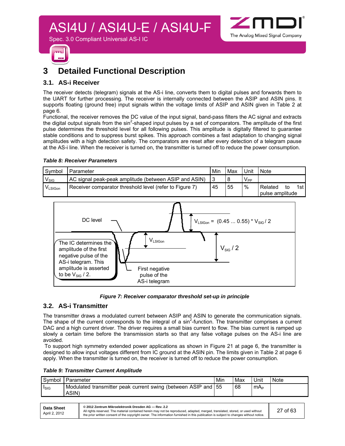



### **3 Detailed Functional Description**

#### **3.1. AS-i Receiver**

The receiver detects (telegram) signals at the AS-i line, converts them to digital pulses and forwards them to the UART for further processing. The receiver is internally connected between the ASIP and ASIN pins. It supports floating (ground free) input signals within the voltage limits of ASIP and ASIN given in Table 2 at page 6.

Functional, the receiver removes the DC value of the input signal, band-pass filters the AC signal and extracts the digital output signals from the sin<sup>2</sup>-shaped input pulses by a set of comparators. The amplitude of the first pulse determines the threshold level for all following pulses. This amplitude is digitally filtered to guarantee stable conditions and to suppress burst spikes. This approach combines a fast adaptation to changing signal amplitudes with a high detection safety. The comparators are reset after every detection of a telegram pause at the AS-i line. When the receiver is turned on, the transmitter is turned off to reduce the power consumption.

#### *Table 8: Receiver Parameters*

| Symbol           | Parameter                                               | Mir | Max | Unit     | <b>Note</b>                |      |
|------------------|---------------------------------------------------------|-----|-----|----------|----------------------------|------|
| $V_{\text{SIG}}$ | AC signal peak-peak amplitude (between ASIP and ASIN)   |     | 8   | $V_{PP}$ |                            |      |
| VLSIGon          | Receiver comparator threshold level (refer to Figure 7) | 45  | 55  | $\%$     | Related<br>pulse amplitude | 1st. |





#### **3.2. AS-i Transmitter**

The transmitter draws a modulated current between ASIP and ASIN to generate the communication signals. The shape of the current corresponds to the integral of a  $sin^2$ -function. The transmitter comprises a current DAC and a high current driver. The driver requires a small bias current to flow. The bias current is ramped up slowly a certain time before the transmission starts so that any false voltage pulses on the AS-i line are avoided.

 To support high symmetry extended power applications as shown in Figure 21 at page 6, the transmitter is designed to allow input voltages different from IC ground at the ASIN pin. The limits given in Table 2 at page 6 apply. When the transmitter is turned on, the receiver is turned off to reduce the power consumption.

|  | <b>Table 9: Transmitter Current Amplitude</b> |  |  |
|--|-----------------------------------------------|--|--|
|--|-----------------------------------------------|--|--|

| Modulated transmitter peak current swing (between ASIP and 55<br>68<br>mA∍<br><b>ISIG</b> | Symbol | Parameter | Min | Max | Unit | Note |
|-------------------------------------------------------------------------------------------|--------|-----------|-----|-----|------|------|
|                                                                                           |        | ASIN)     |     |     |      |      |

| Data Sheet<br>April 2, 2012 | © 2012 Zentrum Mikroelektronik Dresden AG - Rev. 2.2<br>All rights reserved. The material contained herein may not be reproduced, adapted, merged, translated, stored, or used without<br>the prior written consent of the copyright owner. The information furnished in this publication is subject to changes without notice. | 27 of 63 |
|-----------------------------|---------------------------------------------------------------------------------------------------------------------------------------------------------------------------------------------------------------------------------------------------------------------------------------------------------------------------------|----------|
|-----------------------------|---------------------------------------------------------------------------------------------------------------------------------------------------------------------------------------------------------------------------------------------------------------------------------------------------------------------------------|----------|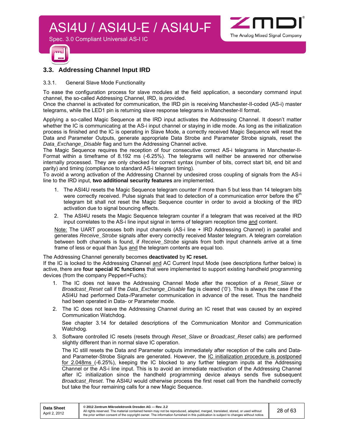

Spec. 3.0 Compliant Universal AS-I IC



#### **3.3. Addressing Channel Input IRD**

#### 3.3.1. General Slave Mode Functionality

To ease the configuration process for slave modules at the field application, a secondary command input channel, the so-called Addressing Channel, IRD, is provided.

Once the channel is activated for communication, the IRD pin is receiving Manchester-II-coded (AS-i) master telegrams, while the LED1 pin is returning slave response telegrams in Manchester-II format.

Applying a so-called Magic Sequence at the IRD input activates the Addressing Channel. It doesn't matter whether the IC is communicating at the AS-i input channel or staying in idle mode. As long as the initialization process is finished and the IC is operating in Slave Mode, a correctly received Magic Sequence will reset the Data and Parameter Outputs, generate appropriate Data Strobe and Parameter Strobe signals, reset the *Data\_Exchange\_Disable* flag and turn the Addressing Channel active.

The Magic Sequence requires the reception of four consecutive correct AS-i telegrams in Manchester-II-Format within a timeframe of 8.192 ms (-6.25%). The telegrams will neither be answered nor otherwise internally processed. They are only checked for correct syntax (number of bits, correct start bit, end bit and parity) and timing (compliance to standard AS-i telegram timing).

To avoid a wrong activation of the Addressing Channel by undesired cross coupling of signals from the AS-i line to the IRD input, **two additional security features** are implemented.

- 1. The ASI4U resets the Magic Sequence telegram counter if more than 5 but less than 14 telegram bits were correctly received. Pulse signals that lead to detection of a communication error before the 6<sup>th</sup> telegram bit shall not reset the Magic Sequence counter in order to avoid a blocking of the IRD activation due to signal bouncing effects.
- 2. The ASI4U resets the Magic Sequence telegram counter if a telegram that was received at the IRD input correlates to the AS-i line input signal in terms of telegram reception time and content.

Note: The UART processes both input channels (AS-i line + IRD Addressing Channel) in parallel and generates *Receive\_Strobe* signals after every correctly received Master telegram. A telegram correlation between both channels is found, if *Receive\_Strobe* signals from both input channels arrive at a time frame of less or equal than 3µs and the telegram contents are equal too.

The Addressing Channel generally becomes **deactivated** by **IC reset.** 

If the IC is locked to the Addressing Channel and AC Current Input Mode (see descriptions further below) is active, there are **four special IC functions** that were implemented to support existing handheld programming devices (from the company Pepperl+Fuchs):

- 1. The IC does not leave the Addressing Channel Mode after the reception of a *Reset\_Slave* or *Broadcast\_Reset* call if the *Data\_Exchange\_Disable* flag is cleared ('0'). This is always the case if the ASI4U had performed Data-/Parameter communication in advance of the reset. Thus the handheld had been operated in Data- or Parameter mode.
- 2. The IC does not leave the Addressing Channel during an IC reset that was caused by an expired Communication Watchdog.

See chapter 3.14 for detailed descriptions of the Communication Monitor and Communication Watchdog*.*

3. Software controlled IC resets (resets through *Reset\_Slave* or *Broadcast\_Reset* calls) are performed slightly different than in normal slave IC operation.

The IC still resets the Data and Parameter outputs immediately after reception of the calls and Dataand Parameter-Strobe Signals are generated. However, the IC initialization procedure is postponed for 2.048ms (-6.25%), keeping the IC blocked to any further telegram inputs at the Addressing Channel or the AS-i line input. This is to avoid an immediate reactivation of the Addressing Channel after IC initialization since the handheld programming device always sends five subsequent *Broadcast\_Reset*. The ASI4U would otherwise process the first reset call from the handheld correctly but take the four remaining calls for a new Magic Sequence.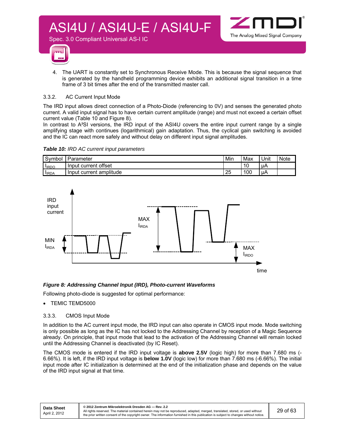

4. The UART is constantly set to Synchronous Receive Mode. This is because the signal sequence that is generated by the handheld programming device exhibits an additional signal transition in a time frame of 3 bit times after the end of the transmitted master call.

#### 3.3.2. AC Current Input Mode

The IRD input allows direct connection of a Photo-Diode (referencing to 0V) and senses the generated photo current. A valid input signal has to have certain current amplitude (range) and must not exceed a certain offset current value (Table 10 and Figure 8).

In contrast to A<sup>2</sup>SI versions, the IRD input of the ASI4U covers the entire input current range by a single amplifying stage with continues (logarithmical) gain adaptation. Thus, the cyclical gain switching is avoided and the IC can react more safely and without delay on different input signal amplitudes.

*Table 10: IRD AC current input parameters* 

Spec. 3.0 Compliant Universal AS-I IC

| Symbol      | Parameter                     | Mir | Max | Unit | <b>Note</b> |
|-------------|-------------------------------|-----|-----|------|-------------|
| <b>IRDO</b> | current offset :<br>Input     |     | 10  | ЦA   |             |
| <b>IRDA</b> | amplitude<br>Input<br>current | 25  | 100 | uА   |             |



#### *Figure 8: Addressing Channel Input (IRD), Photo-current Waveforms*

Following photo-diode is suggested for optimal performance:

- TEMIC TEMD5000
- 3.3.3. CMOS Input Mode

In addition to the AC current input mode, the IRD input can also operate in CMOS input mode. Mode switching is only possible as long as the IC has not locked to the Addressing Channel by reception of a Magic Sequence already. On principle, that input mode that lead to the activation of the Addressing Channel will remain locked until the Addressing Channel is deactivated (by IC Reset).

The CMOS mode is entered if the IRD input voltage is **above 2.5V** (logic high) for more than 7.680 ms (- 6.66%). It is left, if the IRD input voltage is **below 1.0V** (logic low) for more than 7.680 ms (-6.66%). The initial input mode after IC initialization is determined at the end of the initialization phase and depends on the value of the IRD input signal at that time.

| Data Sheet    | © 2012 Zentrum Mikroelektronik Dresden AG - Rev. 2.2                                                                                                                                                                                                                    |  |
|---------------|-------------------------------------------------------------------------------------------------------------------------------------------------------------------------------------------------------------------------------------------------------------------------|--|
| April 2. 2012 | All rights reserved. The material contained herein may not be reproduced, adapted, merged, translated, stored, or used without<br>the prior written consent of the copyright owner. The information furnished in this publication is subject to changes without notice. |  |

The Analog Mixed Signal Company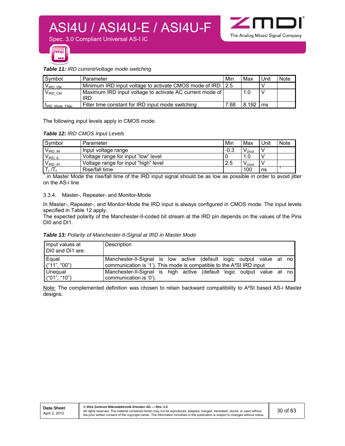

#### *Table 11: IRD current/voltage mode switching*

| Symbol                  | Parameter                                                    | Min  | Max   | Unit | Note |
|-------------------------|--------------------------------------------------------------|------|-------|------|------|
| $V_{\text{IRD VM}}$     | Minimum IRD input voltage to activate CMOS mode of IRD   2.5 |      |       |      |      |
| $V_{\text{IRD CM}}$     | Maximum IRD input voltage to activate AC current mode of     |      | 1.0   |      |      |
|                         | IRD                                                          |      |       |      |      |
| <b>LIRD Mode Filter</b> | Filter time constant for IRD input mode switching            | 7.68 | 8.192 | l ms |      |

The following input levels apply in CMOS mode:

#### *Table 12: IRD CMOS Input Levels*

| Symbol              | Parameter                            | Min    | Max                          | Unit | <b>Note</b> |
|---------------------|--------------------------------------|--------|------------------------------|------|-------------|
| $V_{\text{IRD IN}}$ | Input voltage range                  | $-0.3$ | $\mathsf{V}_{\mathsf{Uout}}$ |      |             |
| $V_{IRDIL}$         | Voltage range for input "low" level  |        | 1.0                          |      |             |
| $V_{IRD}$ ih        | Voltage range for input "high" level | 2.5    | V <sub>Uout</sub>            |      |             |
| $T_r/T_f$           | Rise/fall time                       |        | 100                          | ns   |             |

 $1$  in Master Mode the rise/fall time of the IRD input signal should be as low as possible in order to avoid jitter on the AS-i line

#### 3.3.4. Master-, Repeater- and Monitor-Mode

In Master-, Repeater-, and Monitor-Mode the IRD input is always configured in CMOS mode. The input levels specified in Table 12 apply.

The expected polarity of the Manchester-II-coded bit stream at the IRD pin depends on the values of the Pins DI0 and DI1.

*Table 13: Polarity of Manchester-II-Signal at IRD in Master Mode* 

| Input values at<br>DIO and DI1 are: | Description                                                                                                                                               |
|-------------------------------------|-----------------------------------------------------------------------------------------------------------------------------------------------------------|
| Equal<br>$($ "11", "00")            | Manchester-II-Signal is low active (default logic output value at no<br>communication is '1'). This mode is compatible to the A <sup>2</sup> SI IRD input |
| <b>Unequal</b>                      | Manchester-II-Signal is high active (default logic output value at no l                                                                                   |
| ("01", "10")                        | communication is '0').                                                                                                                                    |

Note: The complemented definition was chosen to retain backward compatibility to A<sup>2</sup>SI based AS-i Master designs.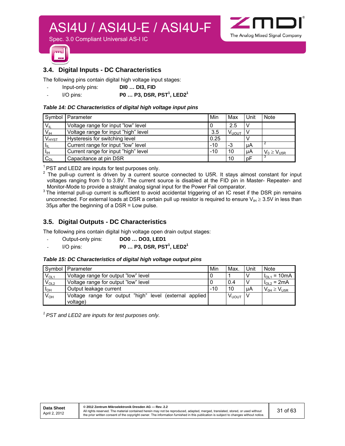$\sim$ The Analog Mixed Signal Company

Spec. 3.0 Compliant Universal AS-I IC



#### **3.4. Digital Inputs - DC Characteristics**

The following pins contain digital high voltage input stages:

- Input-only pins: **DI0 … DI3, FID**
- I/O pins: **P0 ... P3, DSR, PST<sup>1</sup>, LED2<sup>1</sup>**

#### *Table 14: DC Characteristics of digital high voltage input pins*

|                            | Symbol   Parameter                   | Min   | Max               | l Unit | <b>Note</b>               |
|----------------------------|--------------------------------------|-------|-------------------|--------|---------------------------|
| $V_{IL}$                   | Voltage range for input "low" level  |       | 2.5               | l V    |                           |
| V <sub>IH</sub>            | Voltage range for input "high" level | 3.5   | V <sub>υουτ</sub> |        |                           |
| $V_{HYST}$                 | Hysteresis for switching level       | 0.25  |                   |        |                           |
| $\mathsf{l}_{\mathsf{IL}}$ | Current range for input "low" level  | $-10$ | -3                | l µA   |                           |
| $T_{\rm IH}$               | Current range for input "high" level | $-10$ | 10                | µA     | $V_0 \geq V_{\text{U5R}}$ |
| $C_{DL}$                   | Capacitance at pin DSR               |       | 10                | pF     |                           |

 $1$  PST and LED2 are inputs for test purposes only.

 $2$  The pull-up current is driven by a current source connected to U5R. It stays almost constant for input voltages ranging from 0 to 3.8V. The current source is disabled at the FID pin in Master- Repeater- and Monitor-Mode to provide a straight analog signal input for the Power Fail comparator.

The internal pull-up current is sufficient to avoid accidental triggering of an IC reset if the DSR pin remains unconnected. For external loads at DSR a certain pull up resistor is required to ensure  $V_{IH} \geq 3.5V$  in less than 35µs after the beginning of a DSR = Low pulse.

#### **3.5. Digital Outputs - DC Characteristics**

The following pins contain digital high voltage open drain output stages:

- Output-only pins: **DO0 … DO3, LED1**
- I/O pins: **P0 … P3, DSR, PST1 , LED21**

#### *Table 15: DC Characteristics of digital high voltage output pins*

| Symbol    | Parameter                                               | Min   | <b>Max</b>        | Unit | Note                   |
|-----------|---------------------------------------------------------|-------|-------------------|------|------------------------|
| $V_{OL1}$ | Voltage range for output "low" level                    |       |                   | N    | $= 10mA$<br>$I_{O1.1}$ |
| $V_{OL2}$ | Voltage range for output "low" level                    |       | 0.4               | V    | $I_{OL2}$ = 2mA        |
| $I_{OH}$  | Output leakage current                                  | $-10$ | 10                | μA   | $V_{OH} \geq V_{U5R}$  |
| $V_{OH}$  | Voltage range for output "high" level (external applied |       | V <sub>uout</sub> |      |                        |
|           | voltage)                                                |       |                   |      |                        |

*1 PST and LED2 are inputs for test purposes only.*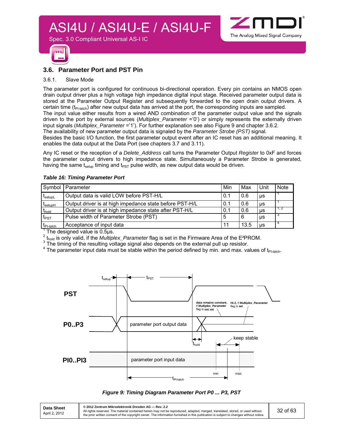

#### **3.6. Parameter Port and PST Pin**

Spec. 3.0 Compliant Universal AS-I IC

#### 3.6.1. Slave Mode

The parameter port is configured for continuous bi-directional operation. Every pin contains an NMOS open drain output driver plus a high voltage high impedance digital input stage. Received parameter output data is stored at the Parameter Output Register and subsequently forwarded to the open drain output drivers. A certain time  $(t_{P\text{-}latch})$  after new output data has arrived at the port, the corresponding inputs are sampled.

The input value either results from a wired AND combination of the parameter output value and the signals driven to the port by external sources (*Multiplex\_Parameter* ='0') or simply represents the externally driven input signals (*Multiplex\_Parameter* ='1'). For further explanation see also Figure 9 and chapter 3.6.2.

The availability of new parameter output data is signaled by the *Parameter Strobe (PST)* signal*.*

Besides the basic I/O function, the first parameter output event after an IC reset has an additional meaning. It enables the data output at the Data Port (see chapters 3.7 and 3.11).

Any IC reset or the reception of a *Delete\_Address* call turns the Parameter Output *Register* to 0xF and forces the parameter output drivers to high impedance state. Simultaneously a Parameter Strobe is generated, having the same t<sub>setup</sub> timing and t<sub>PST</sub> pulse width, as new output data would be driven.

#### *Table 16: Timing Parameter Port*

| Symbol                                    | Parameter                                               | Min | Max  | Unit      | <b>Note</b> |
|-------------------------------------------|---------------------------------------------------------|-----|------|-----------|-------------|
| $\boldsymbol{\mathrm{t}}_{\text{setupL}}$ | Output data is valid LOW before PST-H/L                 | 0.1 | 0.6  | μs        |             |
| <b>L</b> setupH                           | Output driver is at high impedance state before PST-H/L | 0.1 | 0.6  | μs        |             |
| t <sub>hold</sub>                         | Output driver is at high impedance state after PST-H/L  | 0.1 | 0.6  | μs        | l 1. 2      |
| $t_{\text{PST}}$                          | Pulse width of Parameter Strobe (PST)                   | 5   | 6    | μs        | -3          |
| $t_{\text{Pl-} \text{latch}}$             | Acceptance of input data                                | 11  | 13.5 | <b>US</b> |             |

 $1$  The designed value is 0.5µs.

 $^{2}$  t<sub>hold</sub> is only valid, if the *Multiplex\_Parameter* flag is set in the Firmware Area of the E<sup>2</sup>PROM.

<sup>3</sup> The timing of the resulting voltage signal also depends on the external pull up resistor.

 $^4$  The parameter input data must be stable within the period defined by min. and max. values of t<sub>PI-latch</sub>.



#### *Figure 9: Timing Diagram Parameter Port P0 ... P3, PST*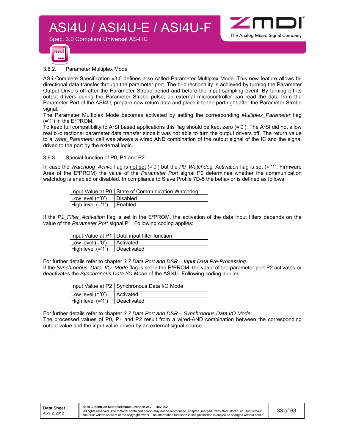

#### 3.6.2. Parameter Multiplex Mode

Spec. 3.0 Compliant Universal AS-I IC

AS-i Complete Specification v3.0 defines a so called Parameter Multiplex Mode. This new feature allows bidirectional data transfer through the parameter port. The bi-directionality is achieved by turning the Parameter Output Drivers off after the Parameter Strobe period and before the input sampling event. By turning off its output drivers during the Parameter Strobe pulse, an external microcontroller can read the data from the Parameter Port of the ASI4U, prepare new return data and place it to the port right after the Parameter Strobe signal.

The Parameter Multiplex Mode becomes activated by setting the corresponding *Multiplex\_Parameter* flag  $(= '1')$  in the E<sup>2</sup>PROM.

To keep full compatibility to A²SI based applications this flag should be kept zero (='0'). The A²SI did not allow real bi-directional parameter data transfer since it was not able to turn the output drivers off. The return value to a *Write\_Parameter* call was always a wired AND combination of the output signal of the IC and the signal driven to the port by the external logic.

#### 3.6.3. Special function of P0, P1 and P2

In case the *Watchdog\_Active* flag is not set (='0') but the *P0\_Watchdog\_Activation* flag is set (= '1', Firmware Area of the E²PROM) the value of the *Parameter Port* signal P0 determines whether the communication watchdog is enabled or disabled. In compliance to Slave Profile 7D-5 the behavior is defined as follows:

|                    | Input Value at P0   State of Communication Watchdog |
|--------------------|-----------------------------------------------------|
| Low level $(=0')$  | <b>I</b> Disabled                                   |
| High level $(=1')$ | I Enabled                                           |

If the *P1\_Filter\_Activation* flag is set in the E²PROM, the activation of the data input filters depends on the value of the *Parameter Port* signal P1. Following coding applies:

|                    | Input Value at P1   Data input filter function |
|--------------------|------------------------------------------------|
| Low level $(=0')$  | Activated                                      |
| High level $(=1')$ | Deactivated                                    |

For further details refer to chapter *3.7 Data Port and DSR – Input Data Pre-Processing.* If the *Synchronous\_Data\_I/O\_Mode* flag is set in the E<sup>2</sup>PROM, the value of the parameter port P2 activates or deactivates the *Synchronous Data I/O Mode* of the ASI4U. Following coding applies:

|                    | Input Value at P2   Synchronous Data I/O Mode |
|--------------------|-----------------------------------------------|
| Low level $(=0')$  | Activated                                     |
| High level $(=1')$ | Deactivated                                   |

For further details refer to chapter *3.7 Data Port and DSR* – *Synchronous Data I/O Mode.* The processed values of P0, P1 and P2 result from a wired-AND combination between the corresponding output value and the input value driven by an external signal source.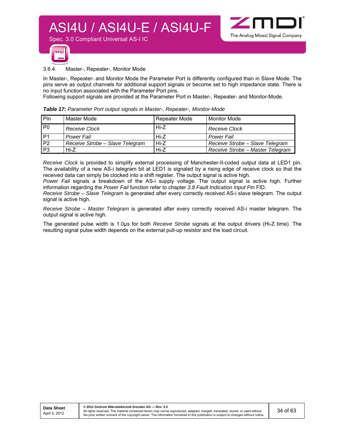



#### 3.6.4. Master-, Repeater-, Monitor Mode

Spec. 3.0 Compliant Universal AS-I IC

In Master-, Repeater- and Monitor Mode the Parameter Port is differently configured than in Slave Mode. The pins serve as output channels for additional support signals or become set to high impedance state. There is no input function associated with the Parameter Port pins.

Following support signals are provided at the Parameter Port in Master-, Repeater- and Monitor-Mode.

|  | Table 17: Parameter Port output signals in Master-, Repeater-, Monitor-Mode |  |
|--|-----------------------------------------------------------------------------|--|
|  |                                                                             |  |

| Pin             | Master Mode                     | Repeater Mode | l Monitor Mode                   |
|-----------------|---------------------------------|---------------|----------------------------------|
| P <sub>0</sub>  | <b>Receive Clock</b>            | Hi-Z          | <b>Receive Clock</b>             |
| $\overline{P1}$ | Power Fail                      | Hi-Z          | Power Fail                       |
| P <sub>2</sub>  | Receive Strobe - Slave Telegram | $Hi-Z$        | Receive Strobe - Slave Telegram  |
| P <sub>3</sub>  | Hi-7                            | $Hi-Z$        | Receive Strobe - Master Telegram |

*Receive Clock* is provided to simplify external processing of Manchester-II-coded output data at LED1 pin. The availability of a new AS-i telegram bit at LED1 is signaled by a rising edge of receive clock so that the received data can simply be clocked into a shift register. The output signal is active high.

*Power Fail* signals a breakdown of the AS-i supply voltage. The output signal is active high. Further information regarding the *Power Fail* function refer to chapter *3.8 Fault Indication Input Pin* FID.

*Receive Strobe – Slave Telegram* is generated after every correctly received AS-i slave telegram. The output signal is active high.

*Receive Strobe – Master Telegram* is generated after every correctly received AS-i master telegram. The output signal is active high.

The generated pulse width is 1.0µs for both *Receive Strobe* signals at the output drivers (Hi-Z time). The resulting signal pulse width depends on the external pull-up resistor and the load circuit.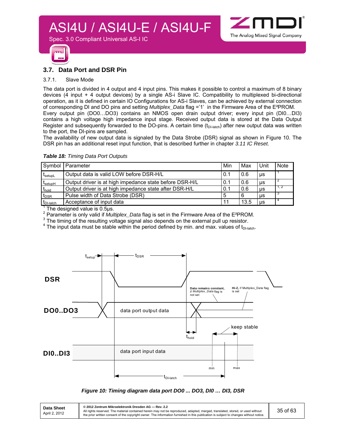



#### **3.7. Data Port and DSR Pin**

Spec. 3.0 Compliant Universal AS-I IC

#### 3.7.1. Slave Mode

The data port is divided in 4 output and 4 input pins. This makes it possible to control a maximum of 8 binary devices (4 input + 4 output devices) by a single AS-i Slave IC. Compatibility to multiplexed bi-directional operation, as it is defined in certain IO Configurations for AS-i Slaves, can be achieved by external connection of corresponding DI and DO pins and setting *Multiplex\_Data* flag ='1' in the Firmware Area of the E²PROM. Every output pin (DO0…DO3) contains an NMOS open drain output driver; every input pin (DI0…DI3) contains a high voltage high impedance input stage. Received output data is stored at the Data Output Register and subsequently forwarded to the DO-pins. A certain time  $(t<sub>D+latch</sub>)$  after new output data was written to the port, the DI-pins are sampled.

The availability of new output data is signaled by the Data Strobe (DSR) signal as shown in Figure 10. The DSR pin has an additional reset input function, that is described further in chapter *3.11 IC Reset.*

| Symbol            | Parameter                                               | Min | Max  | Unit      | <b>Note</b> |
|-------------------|---------------------------------------------------------|-----|------|-----------|-------------|
| <b>I</b> setupL   | Output data is valid LOW before DSR-H/L                 | 0.1 | 0.6  | μs        |             |
| <b>L</b> setupH   | Output driver is at high impedance state before DSR-H/L | 0.1 | 0.6  | μs        |             |
| $t_{\text{hold}}$ | Output driver is at high impedance state after DSR-H/L  | 0.1 | 0.6  | μs        | -1, 2       |
| $t_{\text{DSR}}$  | Pulse width of Data Strobe (DSR)                        |     |      | μs        |             |
| $t_{DI-$ latch    | Acceptance of input data                                | -11 | 13.5 | <b>US</b> |             |

*Table 18: Timing Data Port Outputs* 

 $1$  The designed value is 0.5µs.

<sup>2</sup> Parameter is only valid if *Multiplex\_Data* flag is set in the Firmware Area of the E<sup>2</sup>PROM.<br><sup>3</sup> The timing of the resulting valtage signal also depends on the external pull up resister.

<sup>3</sup> The timing of the resulting voltage signal also depends on the external pull up resistor.

 $^4$  The input data must be stable within the period defined by min. and max. values of t<sub>DI-latch</sub>.



#### *Figure 10: Timing diagram data port DO0 ... DO3, DI0 … DI3, DSR*

| Data Sheet<br>April 2, 2012 | © 2012 Zentrum Mikroelektronik Dresden AG - Rev. 2.2<br>All rights reserved. The material contained herein may not be reproduced, adapted, merged, translated, stored, or used without<br>the prior written consent of the copyright owner. The information furnished in this publication is subject to changes without notice. | 35 of 63 |
|-----------------------------|---------------------------------------------------------------------------------------------------------------------------------------------------------------------------------------------------------------------------------------------------------------------------------------------------------------------------------|----------|
|-----------------------------|---------------------------------------------------------------------------------------------------------------------------------------------------------------------------------------------------------------------------------------------------------------------------------------------------------------------------------|----------|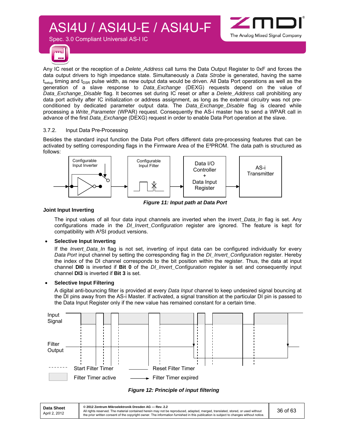

Spec. 3.0 Compliant Universal AS-I IC



Any IC reset or the reception of a *Delete\_Address* call turns the Data Output Register to 0xF and forces the data output drivers to high impedance state. Simultaneously a *Data Strobe* is generated, having the same  $t_{\text{setun}}$  timing and  $t_{\text{DSR}}$  pulse width, as new output data would be driven. All Data Port operations as well as the generation of a slave response to *Data\_Exchange* (DEXG) requests depend on the value of *Data\_Exchange\_Disable* flag. It becomes set during IC reset or after a *Delete\_Address* call prohibiting any data port activity after IC initialization or address assignment, as long as the external circuitry was not preconditioned by dedicated parameter output data. The *Data\_Exchange\_Disable* flag is cleared while processing a *Write\_Parameter* (WPAR) request. Consequently the AS-i master has to send a WPAR call in advance of the first *Data\_Exchange* (DEXG) request in order to enable Data Port operation at the slave.

#### 3.7.2. Input Data Pre-Processing

Besides the standard input function the Data Port offers different data pre-processing features that can be activated by setting corresponding flags in the Firmware Area of the E²PROM. The data path is structured as follows:



*Figure 11: Input path at Data Port*

#### **Joint Input Inverting**

The input values of all four data input channels are inverted when the *Invert\_Data\_In* flag is set. Any configurations made in the *DI\_Invert\_Configuration* register are ignored. The feature is kept for compatibility with A²SI product versions.

#### **Selective Input Inverting**

If the *Invert* Data In flag is not set, inverting of input data can be configured individually for every *Data Port* input channel by setting the corresponding flag in the *DI\_Invert\_Configuration* register. Hereby the index of the DI channel corresponds to the bit position within the register. Thus, the data at input channel **DI0** is inverted if **Bit 0** of the *DI\_Invert\_Configuration* register is set and consequently input channel **DI3** is inverted if **Bit 3** is set.

#### **Selective Input Filtering**

A digital anti-bouncing filter is provided at every *Data Input* channel to keep undesired signal bouncing at the DI pins away from the AS-i Master. If activated, a signal transition at the particular DI pin is passed to the Data Input Register only if the new value has remained constant for a certain time.





**© 2012 Zentrum Mikroelektronik Dresden AG — Rev. 2.2**  All rights reserved. The material contained herein may not be reproduced, adapted, merged, translated, stored, or used without<br>the prior written consent of the copyright owner. The information furnished in this publication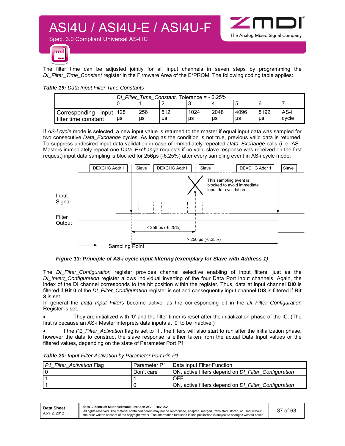

Spec. 3.0 Compliant Universal AS-I IC



The filter time can be adjusted jointly for all input channels in seven steps by programming the *DI\_Filter\_Time\_Constant* register in the Firmware Area of the E²PROM. The following coding table applies:

| Table 19: Data Input Filter Time Constants |  |
|--------------------------------------------|--|
|--------------------------------------------|--|

| Filter<br>Time Constant. Tolerance = $-6.25\%$ |    |     |     |      |      |      |      |       |
|------------------------------------------------|----|-----|-----|------|------|------|------|-------|
|                                                |    |     |     |      |      | b    |      |       |
| Corresponding<br>input   $128$                 |    | 256 | 512 | 1024 | 2048 | 4096 | 8192 | AS-i  |
| l filter time constant                         | μs | us  | μs  | μs   | μs   | μs   | μs   | cycle |

If *AS-i cycle* mode is selected, a new input value is returned to the master if equal input data was sampled for two consecutive *Data\_Exchange* cycles. As long as the condition is not true, previous valid data is returned. To suppress undesired input data validation in case of immediately repeated *Data\_Exchange* calls (i. e. AS-i Masters immediately repeat one *Data\_Exchange* requests if no valid slave response was received on the first request) input data sampling is blocked for 256µs (-6.25%) after every sampling event in AS-i cycle mode.



*Figure 13: Principle of AS-i cycle input filtering (exemplary for Slave with Address 1)* 

The *DI\_Filter\_Configuration* register provides channel selective enabling of input filters; just as the *DI\_Invert\_Configuration* register allows individual inverting of the four Data Port input channels. Again, the index of the DI channel corresponds to the bit position within the register. Thus, data at input channel **DI0** is filtered if **Bit 0** of the *DI\_Filter\_Configuration* register is set and consequently input channel **DI3** is filtered if **Bit 3** is set.

In general the *Data Input Filters* become active, as the corresponding bit in the *DI\_Filter\_Configuration*  Register is set.

 They are initialized with '0' and the filter timer is reset after the initialization phase of the IC. (The first is because an AS-i Master interprets data inputs at '0' to be inactive.)

 If the *P1\_Filter\_Activation* flag is set to '1', the filters will also start to run after the initialization phase, however the data to construct the slave response is either taken from the actual Data Input values or the filtered values, depending on the state of Parameter Port P1

|  |  |  | Table 20: Input Filter Activation by Parameter Port Pin P1 |  |
|--|--|--|------------------------------------------------------------|--|
|--|--|--|------------------------------------------------------------|--|

| P1_Filter_Activation Flag | Parameter P1 | Data Input Filter Function                           |
|---------------------------|--------------|------------------------------------------------------|
|                           | Don't care   | ON, active filters depend on DI_Filter_Configuration |
|                           |              | OFF                                                  |
|                           |              | ON, active filters depend on DI_Filter_Configuration |

| <b>Data Sheet</b> | © 2012 Zentrum Mikroelektronik Dresden AG - Rev. 2.2                                                                                                                                                                                                                    |          |
|-------------------|-------------------------------------------------------------------------------------------------------------------------------------------------------------------------------------------------------------------------------------------------------------------------|----------|
| April 2, 2012     | All rights reserved. The material contained herein may not be reproduced, adapted, merged, translated, stored, or used without<br>the prior written consent of the copyright owner. The information furnished in this publication is subject to changes without notice. | 37 of 63 |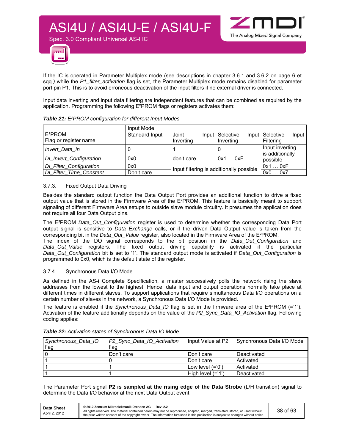



If the IC is operated in Parameter Multiplex mode (see descriptions in chapter 3.6.1 and 3.6.2 on page 6 et sqq.*)* while the *P1\_filter\_activation* flag is set, the Parameter Multiplex mode remains disabled for parameter port pin P1. This is to avoid erroneous deactivation of the input filters if no external driver is connected.

Input data inverting and input data filtering are independent features that can be combined as required by the application. Programming the following E²PROM flags or registers activates them:

|                                              | Input Mode     |                                                    |                              |                                       |  |
|----------------------------------------------|----------------|----------------------------------------------------|------------------------------|---------------------------------------|--|
| E <sup>2</sup> PROM<br>Flag or register name | Standard Input | Joint<br>Inverting                                 | Input Selective<br>Inverting | Input Selective<br>Input<br>Filtering |  |
| Invert Data In                               | U              |                                                    | O                            | Input inverting                       |  |
| DI_Invert_Configuration                      | 0x0            | don't care                                         | 0x10xF                       | is additionally<br>possible           |  |
| DI_Filter_Configuration                      | 0x0            |                                                    | 0x10xF                       |                                       |  |
| <b>DI_Filter_Time_Constant</b>               | Don't care     | Input filtering is additionally possible<br>0x00x7 |                              |                                       |  |

#### *Table 21: E²PROM configuration for different Input Modes*

Spec. 3.0 Compliant Universal AS-I IC

#### 3.7.3. Fixed Output Data Driving

Besides the standard output function the Data Output Port provides an additional function to drive a fixed output value that is stored in the Firmware Area of the E²PROM. This feature is basically meant to support signaling of different Firmware Area setups to outside slave module circuitry. It presumes the application does not require all four Data Output pins.

The E²PROM *Data\_Out\_Configuration* register is used to determine whether the corresponding Data Port output signal is sensitive to *Data\_Exchange* calls, or if the driven Data Output value is taken from the corresponding bit in the *Data\_Out\_Value* register, also located in the Firmware Area of the E²PROM. The index of the DO signal corresponds to the bit position in the *Data\_Out\_Configuration* and *Data\_Out\_Value* registers. The fixed output driving capability is activated if the particular *Data\_Out\_Configuration* bit is set to '1'. The standard output mode is activated if *Data\_Out\_Configuration* is programmed to 0x0, which is the default state of the register.

#### 3.7.4. Synchronous Data I/O Mode

As defined in the AS-i Complete Specification, a master successively polls the network rising the slave addresses from the lowest to the highest. Hence, data input and output operations normally take place at different times in different slaves. To support applications that require simultaneous Data I/O operations on a certain number of slaves in the network, a Synchronous Data I/O Mode is provided.

The feature is enabled if the *Synchronous\_Data\_IO* flag is set in the firmware area of the E²PROM (='1'). Activation of the feature additionally depends on the value of the *P2\_Sync\_Data\_IO\_Activation* flag. Following coding applies:

| Synchronous_Data_IO | P2_Sync_Data_IO_Activation | Input Value at P2    | Synchronous Data I/O Mode |
|---------------------|----------------------------|----------------------|---------------------------|
| flag                | flag                       |                      |                           |
|                     | Don't care                 | Don't care           | Deactivated               |
|                     |                            | Don't care           | Activated                 |
|                     |                            | Low level $(=0')$    | Activated                 |
|                     |                            | High level $(= '1')$ | Deactivated               |

#### *Table 22: Activation states of Synchronous Data IO Mode*

The Parameter Port signal **P2 is sampled at the rising edge of the Data Strobe** (L/H transition) signal to determine the Data I/O behavior at the next Data Output event.

| Data Sheet    | © 2012 Zentrum Mikroelektronik Dresden AG - Rev. 2.2                                                                                                                                                                                                                    |          |
|---------------|-------------------------------------------------------------------------------------------------------------------------------------------------------------------------------------------------------------------------------------------------------------------------|----------|
| April 2, 2012 | All rights reserved. The material contained herein may not be reproduced, adapted, merged, translated, stored, or used without<br>the prior written consent of the copyright owner. The information furnished in this publication is subject to changes without notice. | 38 of 63 |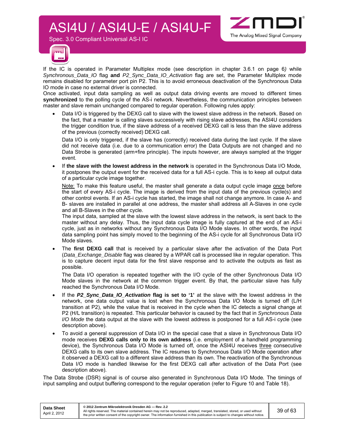Spec. 3.0 Compliant Universal AS-I IC





If the IC is operated in Parameter Multiplex mode (see description in chapter 3.6.1 on page 6*)* while *Synchronous\_Data\_IO* flag **and** *P2\_Sync\_Data\_IO\_Activation* flag are set, the Parameter Multiplex mode remains disabled for parameter port pin P2. This is to avoid erroneous deactivation of the Synchronous Data IO mode in case no external driver is connected.

Once activated, input data sampling as well as output data driving events are moved to different times **synchronized** to the polling cycle of the AS-i network. Nevertheless, the communication principles between master and slave remain unchanged compared to regular operation. Following rules apply:

 Data I/O is triggered by the DEXG call to slave with the lowest slave address in the network. Based on the fact, that a master is calling slaves successively with rising slave addresses, the ASI4U considers the trigger condition true, if the slave address of a received DEXG call is less than the slave address of the previous (correctly received) DEXG call.

Data I/O is only triggered, if the slave has (correctly) received data during the last cycle. If the slave did not receive data (i.e. due to a communication error) the Data Outputs are not changed and no Data Strobe is generated (arm+fire principle). The inputs however, are always sampled at the trigger event.

 If **the slave with the lowest address in the network** is operated in the Synchronous Data I/O Mode*,* it postpones the output event for the received data for a full AS-i cycle. This is to keep all output data of a particular cycle image together.

Note: To make this feature useful, the master shall generate a data output cycle image once before the start of every AS-i cycle. The image is derived from the input data of the previous cycle(s) and other control events. If an AS-i cycle has started, the image shall not change anymore. In case A- and B- slaves are installed in parallel at one address, the master shall address all A-Slaves in one cycle and all B-Slaves in the other cycle.

The input data, sampled at the slave with the lowest slave address in the network, is sent back to the master without any delay. Thus, the input data cycle image is fully captured at the end of an AS-i cycle, just as in networks without any Synchronous Data I/O Mode slaves. In other words, the input data sampling point has simply moved to the beginning of the AS-i cycle for all Synchronous Data I/O Mode slaves.

 The **first DEXG call** that is received by a particular slave after the activation of the Data Port (*Data\_Exchange\_Disable* flag was cleared by a WPAR call is processed like in regular operation. This is to capture decent input data for the first slave response and to activate the outputs as fast as possible.

The Data I/O operation is repeated together with the I/O cycle of the other Synchronous Data I/O Mode slaves in the network at the common trigger event. By that, the particular slave has fully reached the Synchronous Data I/O Mode.

- If the *P2\_Sync\_Data\_IO\_Activation* **flag is set to '1'** at the slave with the lowest address in the network, one data output value is lost when the Synchronous Data I/O Mode is turned off (L/H transition at P2), while the value that is received in the cycle when the IC detects a signal change at P2 (H/L transition) is repeated. This particular behavior is caused by the fact that in *Synchronous Data I/O Mode* the data output at the slave with the lowest address is postponed for a full AS-i cycle (see description above).
- To avoid a general suppression of Data I/O in the special case that a slave in Synchronous Data I/O mode receives **DEXG calls only to its own address** (i.e. employment of a handheld programming device), the Synchronous Data I/O Mode is turned off, once the ASI4U receives three consecutive DEXG calls to its own slave address. The IC resumes to Synchronous Data I/O Mode operation after it observed a DEXG call to a different slave address than its own. The reactivation of the Synchronous Data I/O mode is handled likewise for the first DEXG call after activation of the Data Port (see description above).

The Data Strobe (DSR) signal is of course also generated in Synchronous Data I/O Mode*.* The timings of input sampling and output buffering correspond to the regular operation (refer to Figure 10 and Table 18).

| Data Sheet<br>April 2, 2012 | © 2012 Zentrum Mikroelektronik Dresden AG — Rev. 2.2<br>All rights reserved. The material contained herein may not be reproduced, adapted, merged, translated, stored, or used without<br>the prior written consent of the copyright owner. The information furnished in this publication is subject to changes without notice. | 39 of 63 |
|-----------------------------|---------------------------------------------------------------------------------------------------------------------------------------------------------------------------------------------------------------------------------------------------------------------------------------------------------------------------------|----------|
|                             |                                                                                                                                                                                                                                                                                                                                 |          |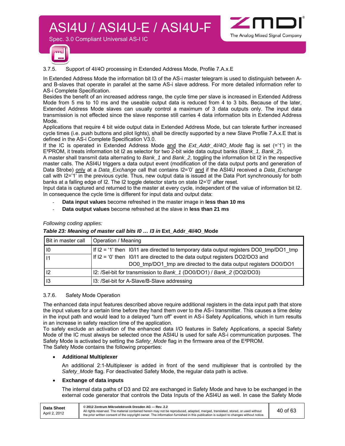

Spec. 3.0 Compliant Universal AS-I IC



3.7.5. Support of 4I/4O processing in Extended Address Mode, Profile 7.A.x.E

In Extended Address Mode the information bit I3 of the AS-i master telegram is used to distinguish between Aand B-slaves that operate in parallel at the same AS-i slave address. For more detailed information refer to AS-i Complete Specification.

Besides the benefit of an increased address range, the cycle time per slave is increased in Extended Address Mode from 5 ms to 10 ms and the useable output data is reduced from 4 to 3 bits. Because of the later, Extended Address Mode slaves can usually control a maximum of 3 data outputs only. The input data transmission is not effected since the slave response still carries 4 data information bits in Extended Address Mode.

Applications that require 4 bit wide output data in Extended Address Mode, but can tolerate further increased cycle times (i.e. push buttons and pilot lights), shall be directly supported by a new Slave Profile 7.A.x.E that is defined in the AS-i Complete Specification V3.0.

If the IC is operated in Extended Address Mode and the *Ext\_Addr\_4I/4O\_Mode* flag is set (='1') in the E²PROM, it treats information bit I2 as selector for two 2-bit wide data output banks (*Bank\_1, Bank\_2*).

A master shall transmit data alternating to *Bank\_1* and *Bank\_2*, toggling the information bit I2 in the respective master calls. The ASI4U triggers a data output event (modification of the data output ports and generation of Data Strobe) only at a *Data\_Exchange* call that contains I2='0' and if the ASI4U received a *Data\_Exchange* call with I2='1' in the previous cycle. Thus, new output data is issued at the Data Port synchronously for both banks at a falling edge of I2. The I2 toggle detector starts on state I2='0' after reset.

Input data is captured and returned to the master at every cycle, independent of the value of information bit I2. In consequence the cycle time is different for input data and output data:

- **Data input values** become refreshed in the master image in **less than 10 ms**
- **Data output values** become refreshed at the slave in **less than 21 ms**

#### *Following coding applies:*

#### *Table 23: Meaning of master call bits I0 … I3 in* **Ext\_Addr\_4I/4O\_Mode**

| Bit in master call | Operation / Meaning                                                                    |
|--------------------|----------------------------------------------------------------------------------------|
| $\overline{10}$    | If I2 = '1' then I0/I1 are directed to temporary data output registers DO0 tmp/DO1 tmp |
|                    | If $12 = 0$ ' then $10/11$ are directed to the data output registers DO2/DO3 and       |
|                    | DO0 tmp/DO1 tmp are directed to the data output registers DO0/DO1                      |
| <b>I</b> 2         | I2: /Sel-bit for transmission to Bank_1 (DO0/DO1) / Bank_2 (DO2/DO3)                   |
| l 13               | 13: /Sel-bit for A-Slave/B-Slave addressing                                            |

#### 3.7.6. Safety Mode Operation

The enhanced data input features described above require additional registers in the data input path that store the input values for a certain time before they hand them over to the AS-i transmitter. This causes a time delay in the input path and would lead to a delayed "turn off" event in AS-i Safety Applications, which in turn results in an increase in safety reaction time of the application.

To safely exclude an activation of the enhanced data I/O features in Safety Applications, a special Safety Mode of the IC must always be selected once the ASI4U is used for safe AS-i communication purposes. The Safety Mode is activated by setting the *Safety\_Mode* flag in the firmware area of the E²PROM. The Safety Mode contains the following properties:

#### **Additional Multiplexer**

An additional 2:1-Multiplexer is added in front of the send multiplexer that is controlled by the *Safety\_Mode* flag. For deactivated Safety Mode, the regular data path is active.

#### **Exchange of data inputs**

The internal data paths of D3 and D2 are exchanged in Safety Mode and have to be exchanged in the external code generator that controls the Data Inputs of the ASI4U as well. In case the Safety Mode

| Data Sheet    | © 2012 Zentrum Mikroelektronik Dresden AG - Rev. 2.2                                                                                                                                                                                                                    |          |
|---------------|-------------------------------------------------------------------------------------------------------------------------------------------------------------------------------------------------------------------------------------------------------------------------|----------|
| April 2, 2012 | All rights reserved. The material contained herein may not be reproduced, adapted, merged, translated, stored, or used without<br>the prior written consent of the copyright owner. The information furnished in this publication is subject to changes without notice. | 40 of 63 |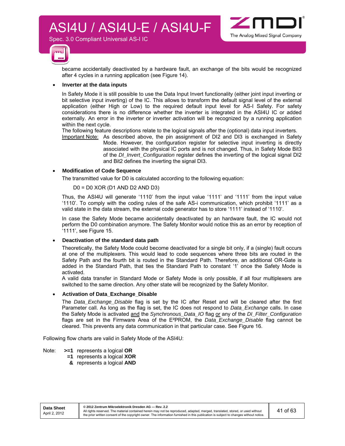Spec. 3.0 Compliant Universal AS-I IC





became accidentally deactivated by a hardware fault, an exchange of the bits would be recognized after 4 cycles in a running application (see Figure 14).

#### **Inverter at the data inputs**

In Safety Mode it is still possible to use the Data Input Invert functionality (either joint input inverting or bit selective input inverting) of the IC. This allows to transform the default signal level of the external application (either High or Low) to the required default input level for AS-I Safety. For safety considerations there is no difference whether the inverter is integrated in the ASI4U IC or added externally. An error in the inverter or inverter activation will be recognized by a running application within the next cycle.

The following feature descriptions relate to the logical signals after the (optional) data input inverters. Important Note: As described above, the pin assignment of DI2 and DI3 is exchanged in Safety

Mode. However, the configuration register for selective input inverting is directly associated with the physical IC ports and is not changed. Thus, in Safety Mode Bit3 of the *DI\_Invert\_Configuration* register defines the inverting of the logical signal DI2 and Bit2 defines the inverting the signal DI3.

#### **Modification of Code Sequence**

The transmitted value for D0 is calculated according to the following equation:

#### D0 = D0 XOR (D1 AND D2 AND D3)

Thus, the ASI4U will generate '1110' from the input value '1111' and '1111' from the input value '1110'. To comply with the coding rules of the safe AS-i communication, which prohibit '1111' as a valid state in the data stream, the external code generator has to store '1111' instead of '1110'.

In case the Safety Mode became accidentally deactivated by an hardware fault, the IC would not perform the D0 combination anymore. The Safety Monitor would notice this as an error by reception of '1111', see Figure 15.

#### **Deactivation of the standard data path**

Theoretically, the Safety Mode could become deactivated for a single bit only, if a (single) fault occurs at one of the multiplexers. This would lead to code sequences where three bits are routed in the Safety Path and the fourth bit is routed in the Standard Path. Therefore, an additional OR-Gate is added in the Standard Path, that ties the Standard Path to constant '1' once the Safety Mode is activated.

A valid data transfer in Standard Mode or Safety Mode is only possible, if all four multiplexers are switched to the same direction. Any other state will be recognized by the Safety Monitor.

#### **Activation of Data\_Exchange\_Disable**

The *Data\_Exchange\_Disable* flag is set by the IC after Reset and will be cleared after the first Parameter call. As long as the flag is set, the IC does not respond to *Data\_Exchange* calls. In case the Safety Mode is activated and the *Synchronous\_Data\_IO* flag or any of the *DI\_Filter\_Configuration* flags are set in the Firmware Area of the E²PROM, the *Data\_Exchange\_Disable* flag cannot be cleared. This prevents any data communication in that particular case. See Figure 16.

Following flow charts are valid in Safety Mode of the ASI4U:

- Note: **>=1** represents a logical **OR** 
	- **=1** represents a logical **XOR**
	- **&** represents a logical **AND**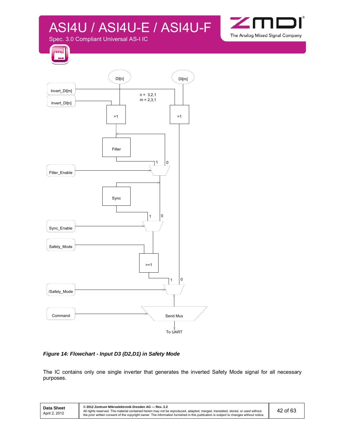

Spec. 3.0 Compliant Universal AS-I IC





*Figure 14: Flowchart - Input D3 (D2,D1) in Safety Mode* 

The IC contains only one single inverter that generates the inverted Safety Mode signal for all necessary purposes.

| <b>Data Sheet</b><br>April 2, 2012 | © 2012 Zentrum Mikroelektronik Dresden AG - Rev. 2.2<br>All rights reserved. The material contained herein may not be reproduced, adapted, merged, translated, stored, or used without<br>the prior written consent of the copyright owner. The information furnished in this publication is subject to changes without notice. | 42 of 63 |
|------------------------------------|---------------------------------------------------------------------------------------------------------------------------------------------------------------------------------------------------------------------------------------------------------------------------------------------------------------------------------|----------|
|------------------------------------|---------------------------------------------------------------------------------------------------------------------------------------------------------------------------------------------------------------------------------------------------------------------------------------------------------------------------------|----------|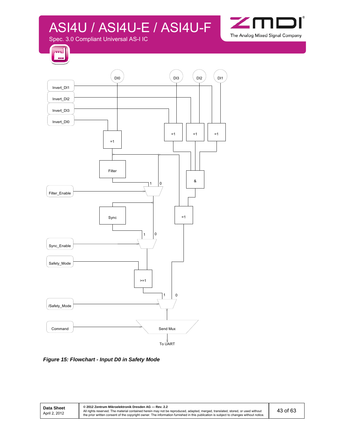

Spec. 3.0 Compliant Universal AS-I IC





*Figure 15: Flowchart - Input D0 in Safety Mode*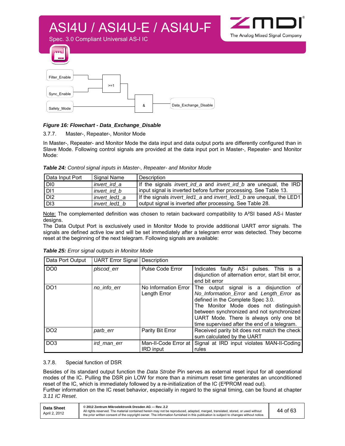

#### *Figure 16: Flowchart - Data\_Exchange\_Disable*

#### 3.7.7. Master-, Repeater-, Monitor Mode

In Master-, Repeater- and Monitor Mode the data input and data output ports are differently configured than in Slave Mode. Following control signals are provided at the data input port in Master-, Repeater- and Monitor Mode:

*Table 24: Control signal inputs in Master-, Repeater- and Monitor Mode* 

| Data Input Port | Signal Name   | Description                                                                        |
|-----------------|---------------|------------------------------------------------------------------------------------|
| I DIO           | invert ird a  | If the signals <i>invert_ird_a</i> and <i>invert_ird_b</i> are unequal, the IRD    |
| I DI1           | invert ird b  | input signal is inverted before further processing. See Table 13.                  |
| D <sub>12</sub> | invert led1 a | If the signals <i>invert_led1_a</i> and <i>invert_led1_b</i> are unequal, the LED1 |
| D <sub>13</sub> | invert led1 b | output signal is inverted after processing. See Table 28.                          |

Note: The complemented definition was chosen to retain backward compatibility to A<sup>2</sup>SI based AS-i Master designs.

The Data Output Port is exclusively used in Monitor Mode to provide additional UART error signals. The signals are defined active low and will be set immediately after a telegram error was detected. They become reset at the beginning of the next telegram. Following signals are available:

| Data Port Output | <b>UART Error Signal   Description</b> |                                          |                                                                                                                                                                                                                                                                                                         |
|------------------|----------------------------------------|------------------------------------------|---------------------------------------------------------------------------------------------------------------------------------------------------------------------------------------------------------------------------------------------------------------------------------------------------------|
| DO <sub>0</sub>  | plscod_err                             | Pulse Code Error                         | Indicates faulty AS-i pulses. This is a<br>disjunction of alternation error, start bit error,<br>end bit error                                                                                                                                                                                          |
| DO <sub>1</sub>  | no_info_err                            | No Information Error<br>Length Error     | The output signal is a disjunction of<br>No_Information_Error and Length_Error as<br>defined in the Complete Spec 3.0.<br>The Monitor Mode does not distinguish<br>between synchronized and not synchronized<br>UART Mode. There is always only one bit<br>time supervised after the end of a telegram. |
| DO <sub>2</sub>  | parb_err                               | Parity Bit Error                         | Received parity bit does not match the check<br>sum calculated by the UART                                                                                                                                                                                                                              |
| DO <sub>3</sub>  | ird man err                            | Man-II-Code Error at<br><b>IRD</b> input | Signal at IRD input violates MAN-II-Coding<br>rules                                                                                                                                                                                                                                                     |

*Table 25: Error signal outputs in Monitor Mode* 

#### 3.7.8. Special function of DSR

Besides of its standard output function the *Data Strobe* Pin serves as external reset input for all operational modes of the IC. Pulling the DSR pin LOW for more than a minimum reset time generates an unconditioned reset of the IC, which is immediately followed by a re-initialization of the IC (E²PROM read out). Further information on the IC reset behavior, especially in regard to the signal timing, can be found at chapter

*3.11 IC Reset*.

| Data Sheet    | © 2012 Zentrum Mikroelektronik Dresden AG — Rev. 2.2                                                                                                                                                                                                                    |          |
|---------------|-------------------------------------------------------------------------------------------------------------------------------------------------------------------------------------------------------------------------------------------------------------------------|----------|
| April 2, 2012 | All rights reserved. The material contained herein may not be reproduced, adapted, merged, translated, stored, or used without<br>the prior written consent of the copyright owner. The information furnished in this publication is subject to changes without notice. | 44 of 63 |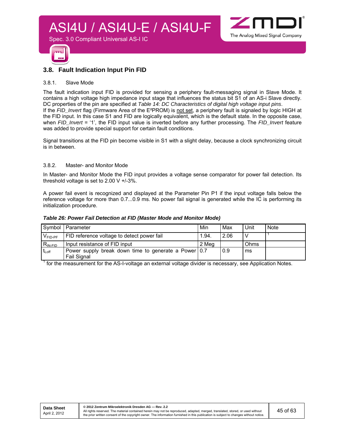



#### **3.8. Fault Indication Input Pin FID**

Spec. 3.0 Compliant Universal AS-I IC

#### 3.8.1. Slave Mode

The fault indication input FID is provided for sensing a periphery fault-messaging signal in Slave Mode. It contains a high voltage high impedance input stage that influences the status bit S1 of an AS-i Slave directly. DC properties of the pin are specified at *Table 14: DC Characteristics of digital high voltage input pins*. If the *FID\_Invert* flag (Firmware Area of the E²PROM) is not set, a periphery fault is signaled by logic HIGH at the FID input. In this case S1 and FID are logically equivalent, which is the default state. In the opposite case, when *FID\_Invert* = '1', the FID input value is inverted before any further processing. The *FID\_Invert* feature was added to provide special support for certain fault conditions.

Signal transitions at the FID pin become visible in S1 with a slight delay, because a clock synchronizing circuit is in between.

#### 3.8.2. Master- and Monitor Mode

In Master- and Monitor Mode the FID input provides a voltage sense comparator for power fail detection. Its threshold voltage is set to 2.00 V +/-3%.

A power fail event is recognized and displayed at the Parameter Pin P1 if the input voltage falls below the reference voltage for more than 0.7...0.9 ms. No power fail signal is generated while the IC is performing its initialization procedure.

#### *Table 26: Power Fail Detection at FID (Master Mode and Monitor Mode)*

| Symbol              | l Parameter                                                                | Min   | Max  | Unit | Note |
|---------------------|----------------------------------------------------------------------------|-------|------|------|------|
| $VFID-PF$           | FID reference voltage to detect power fail                                 | 1.94. | 2.06 |      |      |
| $R_{IN-FID}$        | Input resistance of FID input                                              | 2 Mea |      | Ohms |      |
| $t_{\mathsf{Loff}}$ | Power supply break down time to generate a Power 0.7<br><b>Fail Signal</b> |       | 0.9  | ms   |      |

 $1$  for the measurement for the AS-I-voltage an external voltage divider is necessary, see Application Notes.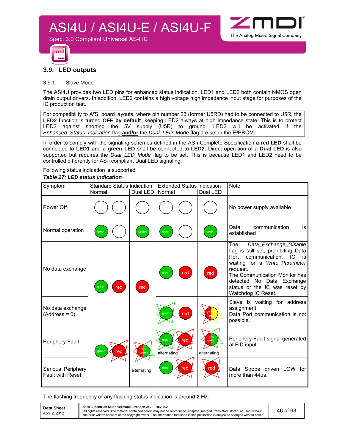

#### **3.9. LED outputs**

Spec. 3.0 Compliant Universal AS-I IC

#### 3.9.1. Slave Mode

The ASI4U provides two LED pins for enhanced status indication. LED1 and LED2 both contain NMOS open drain output drivers. In addition, LED2 contains a high voltage high impedance input stage for purposes of the IC production test.

For compatibility to A²SI board layouts, where pin number 23 (former U5RD) had to be connected to U5R, the **LED2** function is turned **OFF by default**, keeping LED2 always at high impedance state. This is to protect LED2 against shorting the 5V supply (U5R) to ground. LED2 will be activated if the *Enhanced\_Status\_Indication* flag **and/or** the *Dual\_LED\_Mode* flag are set in the E²PROM.

In order to comply with the signaling schemes defined in the AS-i Complete Specification a **red LED** shall be connected to **LED1** and a **green LED** shall be connected to **LED2.** Direct operation of a **Dual LED** is also supported but requires the *Dual\_LED\_Mode* flag to be set. This is because LED1 and LED2 need to be controlled differently for AS-i compliant Dual LED signaling.

#### Following status indication is supported *Table 27: LED status indication*

| Symptom                                      | <b>Standard Status Indication</b><br>Normal | Dual LED    | <b>Extended Status Indication</b><br>Normal | Dual LED                     | <b>Note</b>                                                                                                                                                                                                                                                                     |
|----------------------------------------------|---------------------------------------------|-------------|---------------------------------------------|------------------------------|---------------------------------------------------------------------------------------------------------------------------------------------------------------------------------------------------------------------------------------------------------------------------------|
| Power Off                                    |                                             |             |                                             |                              | No power supply available                                                                                                                                                                                                                                                       |
| Normal operation                             | green                                       | green       | green                                       | green                        | communication<br>Data<br>is<br>established                                                                                                                                                                                                                                      |
| No data exchange                             | red<br>green                                | red         | red<br>green                                | red                          | The<br>Data_Exchange_Disable<br>flag is still set, prohibiting Data<br>Port<br>communication.<br>IC.<br>is<br>waiting for a Write_Parameter<br>request.<br>The Communication Monitor has<br>No Data Exchange<br>detected<br>status or the IC was reset by<br>Watchdog IC Reset. |
| No data exchange<br>$(Address = 0)$          |                                             |             | red<br>green                                | yel <mark>l</mark><br>rec    | Slave is waiting for address<br>assignment.<br>Data Port communication is not<br>possible.                                                                                                                                                                                      |
| Periphery Fault                              | red<br>green                                | <b>Ted</b>  | green<br>red<br>alternating                 | red/<br>green<br>alternating | Periphery Fault signal generated<br>at FID input.                                                                                                                                                                                                                               |
| Serious Periphery<br><b>Fault with Reset</b> |                                             | alternating | red<br>green                                | red                          | Data Strobe driven LOW for<br>more than 44us.                                                                                                                                                                                                                                   |

The flashing frequency of any flashing status indication is around **2 Hz**.

| Data Sheet    | © 2012 Zentrum Mikroelektronik Dresden AG - Rev. 2.2                                                                                                                                                                                                                    |          |
|---------------|-------------------------------------------------------------------------------------------------------------------------------------------------------------------------------------------------------------------------------------------------------------------------|----------|
| April 2, 2012 | All rights reserved. The material contained herein may not be reproduced, adapted, merged, translated, stored, or used without<br>the prior written consent of the copyright owner. The information furnished in this publication is subject to changes without notice. | 46 of 63 |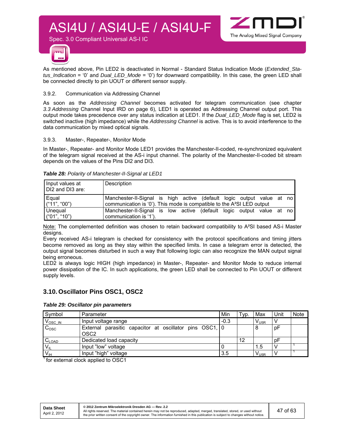

As mentioned above, Pin LED2 is deactivated in Normal - Standard Status Indication Mode (*Extended\_Status\_Indication* = '0' and *Dual\_LED\_Mode* = '0') for downward compatibility. In this case, the green LED shall be connected directly to pin UOUT or different sensor supply.

#### 3.9.2. Communication via Addressing Channel

Spec. 3.0 Compliant Universal AS-I IC

As soon as the *Addressing Channel* becomes activated for telegram communication (see chapter *3.3 Addressing* Channel Input IRD on page 6), LED1 is operated as Addressing Channel output port. This output mode takes precedence over any status indication at LED1. If the *Dual\_LED\_Mode* flag is set, LED2 is switched inactive (high impedance) while the *Addressing Channel* is active. This is to avoid interference to the data communication by mixed optical signals.

#### 3.9.3. Master-, Repeater-, Monitor Mode

In Master-, Repeater- and Monitor Mode LED1 provides the Manchester-II-coded, re-synchronized equivalent of the telegram signal received at the AS-i input channel. The polarity of the Manchester-II-coded bit stream depends on the values of the Pins DI2 and DI3.

| Input values at<br>DI2 and DI3 are: | Description                                                                        |
|-------------------------------------|------------------------------------------------------------------------------------|
| Equal                               | Manchester-II-Signal is high active (default logic output value at no              |
| ('11", '00")                        | communication is '0'). This mode is compatible to the A <sup>2</sup> SI LED output |
| Unequal                             | Manchester-II-Signal is low active (default logic output value at no               |
| ("01", "10")                        | communication is '1').                                                             |

*Table 28: Polarity of Manchester-II-Signal at LED1* 

Note: The complemented definition was chosen to retain backward compatibility to A²SI based AS-i Master designs.

Every received AS-i telegram is checked for consistency with the protocol specifications and timing jitters become removed as long as they stay within the specified limits. In case a telegram error is detected, the output signal becomes disturbed in such a way that following logic can also recognize the MAN output signal being erroneous.

LED2 is always logic HIGH (high impedance) in Master-, Repeater- and Monitor Mode to reduce internal power dissipation of the IC. In such applications, the green LED shall be connected to Pin UOUT or different supply levels.

#### **3.10. Oscillator Pins OSC1, OSC2**

#### *Table 29: Oscillator pin parameters*

| Symbol              | Parameter                                                                   | Min    | Typ. | Max       | Unit | <b>Note</b> |
|---------------------|-----------------------------------------------------------------------------|--------|------|-----------|------|-------------|
| $V_{\text{OSC IN}}$ | Input voltage range                                                         | $-0.3$ |      | $V_{U5R}$ |      |             |
| C <sub>osc</sub>    | External parasitic capacitor at oscillator pins OSC1, 0<br>OSC <sub>2</sub> |        |      | 8         | pF   |             |
| $C_{LOAD}$          | Dedicated load capacity                                                     |        | 12   |           | рF   |             |
| $V_{\parallel}$     | Input "low" voltage                                                         |        |      | 1.5       |      |             |
| V <sub>H</sub>      | Input "high" voltage                                                        | 3.5    |      | $V_{U5R}$ |      |             |

1 for external clock applied to OSC1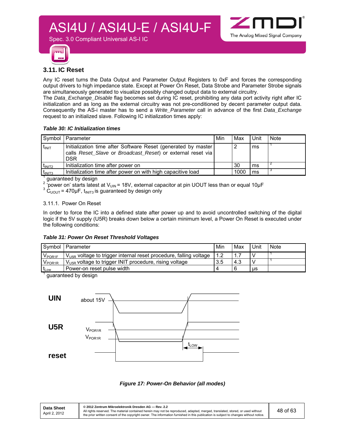

#### **3.11. IC Reset**

Any IC reset turns the Data Output and Parameter Output Registers to 0xF and forces the corresponding output drivers to high impedance state. Except at Power On Reset, Data Strobe and Parameter Strobe signals are simultaneously generated to visualize possibly changed output data to external circuitry.

The *Data\_Exchange\_Disable* flag becomes set during IC reset, prohibiting any data port activity right after IC initialization and as long as the external circuitry was not pre-conditioned by decent parameter output data. Consequently the AS-i master has to send a *Write\_Parameter* call in advance of the first *Data\_Exchange* request to an initialized slave. Following IC initialization times apply:

#### *Table 30: IC Initialization times*

Spec. 3.0 Compliant Universal AS-I IC

|                    | Symbol   Parameter                                                                                                                         | Min | Max  | Unit | <b>Note</b> |
|--------------------|--------------------------------------------------------------------------------------------------------------------------------------------|-----|------|------|-------------|
| $t_{\text{INIT}}$  | Initialization time after Software Reset (generated by master<br>calls Reset Slave or Broadcast Reset) or external reset via<br><b>DSR</b> |     |      | ms   |             |
| $t_{\text{INIT2}}$ | Initialization time after power on                                                                                                         |     | -30  | ms   |             |
| t <sub>INIT3</sub> | Initialization time after power on with high capacitive load                                                                               |     | 1000 | ms   |             |

<sup>1</sup> guaranteed by design

'power on' starts latest at V<sub>UIN</sub> = 18V, external capacitor at pin UOUT less than or equal 10 $\mu$ F

 $3 \text{ C}_{\text{UOUT}} = 470 \mu\text{F}$ ,  $t_{\text{INIT3}}$  is guaranteed by design only

#### 3.11.1. Power On Reset

In order to force the IC into a defined state after power up and to avoid uncontrolled switching of the digital logic if the 5V supply (U5R) breaks down below a certain minimum level, a Power On Reset is executed under the following conditions:

#### *Table 31: Power On Reset Threshold Voltages*

|                    | Symbol   Parameter                                                            | Min | Max | Unit | Note |
|--------------------|-------------------------------------------------------------------------------|-----|-----|------|------|
| V <sub>POR1F</sub> | $V_{\text{U5R}}$ voltage to trigger internal reset procedure, falling voltage | 1.2 |     |      |      |
| $V_{\text{POR1R}}$ | V <sub>U5R</sub> voltage to trigger INIT procedure, rising voltage            | 3.5 | 4.3 |      |      |
| $t_{Low}$          | Power-on reset pulse width                                                    |     |     | us   |      |
|                    | augraphaed by degian                                                          |     |     |      |      |

guaranteed by design



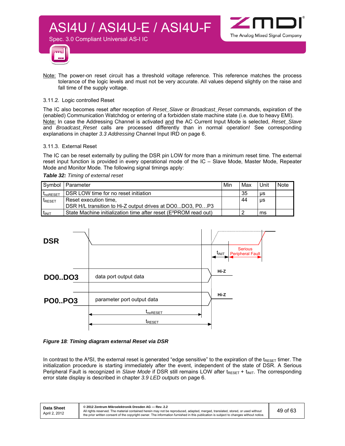



Note: The power-on reset circuit has a threshold voltage reference. This reference matches the process tolerance of the logic levels and must not be very accurate. All values depend slightly on the raise and fall time of the supply voltage.

#### 3.11.2. Logic controlled Reset

Spec. 3.0 Compliant Universal AS-I IC

The IC also becomes reset after reception of *Reset\_Slave* or *Broadcast\_Reset* commands, expiration of the (enabled) Communication Watchdog or entering of a forbidden state machine state (i.e. due to heavy EMI). Note: In case the Addressing Channel is activated and the AC Current Input Mode is selected, *Reset\_Slave* and *Broadcast\_Reset* calls are processed differently than in normal operation! See corresponding explanations in chapter *3.3 Addressing* Channel Input IRD on page 6.

#### 3.11.3. External Reset

The IC can be reset externally by pulling the DSR pin LOW for more than a minimum reset time. The external reset input function is provided in every operational mode of the IC – Slave Mode, Master Mode, Repeater Mode and Monitor Mode*.* The following signal timings apply:

*Table 32: Timing of external reset* 

|                    | Symbol   Parameter                                                           | Min | Max | Unit | <b>Note</b> |
|--------------------|------------------------------------------------------------------------------|-----|-----|------|-------------|
| <b>I</b> noRESET   | DSR LOW time for no reset initiation                                         |     | 35  | μs   |             |
| $t_{\text{RESET}}$ | Reset execution time,                                                        |     | 44  | μs   |             |
|                    | DSR H/L transition to Hi-Z output drives at DO0DO3. P0P3                     |     |     |      |             |
| $t_{\text{INIT}}$  | State Machine initialization time after reset (E <sup>2</sup> PROM read out) |     |     | ms   |             |



#### *Figure 18: Timing diagram external Reset via DSR*

In contrast to the A<sup>2</sup>SI, the external reset is generated "edge sensitive" to the expiration of the t<sub>RESET</sub> timer. The initialization procedure is starting immediately after the event, independent of the state of DSR. A Serious Peripheral Fault is recognized in *Slave Mode* if DSR still remains LOW after t<sub>RESET</sub> + t<sub>INIT</sub>. The corresponding error state display is described in chapter *3.9 LED outputs* on page 6.

| <b>Data Sheet</b><br>April 2, 2012 | © 2012 Zentrum Mikroelektronik Dresden AG - Rev. 2.2<br>All rights reserved. The material contained herein may not be reproduced, adapted, merged, translated, stored, or used without<br>the prior written consent of the copyright owner. The information furnished in this publication is subject to changes without notice. | 49 of 63 |
|------------------------------------|---------------------------------------------------------------------------------------------------------------------------------------------------------------------------------------------------------------------------------------------------------------------------------------------------------------------------------|----------|
|------------------------------------|---------------------------------------------------------------------------------------------------------------------------------------------------------------------------------------------------------------------------------------------------------------------------------------------------------------------------------|----------|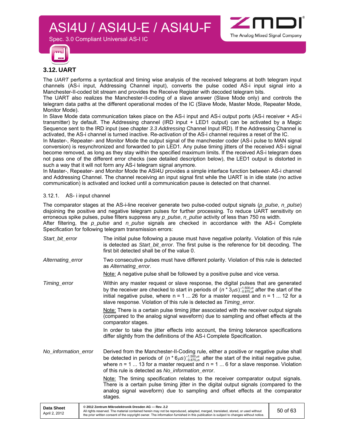

Spec. 3.0 Compliant Universal AS-I IC



#### **3.12. UART**

The *UART* performs a syntactical and timing wise analysis of the received telegrams at both telegram input channels (AS-i input, Addressing Channel input), converts the pulse coded AS-i input signal into a Manchester-II-coded bit stream and provides the Receive Register with decoded telegram bits.

The UART also realizes the Manchester-II-coding of a slave answer (Slave Mode only) and controls the telegram data paths at the different operational modes of the IC (Slave Mode, Master Mode, Repeater Mode, Monitor Mode).

In Slave Mode data communication takes place on the AS-i input and AS-i output ports (AS-i receiver + AS-i transmitter) by default. The Addressing channel (IRD input + LED1 output) can be activated by a Magic Sequence sent to the IRD input (see chapter *3.3 Addressing* Channel Input IRD). If the Addressing Channel is activated, the AS-i channel is turned inactive. Re-activation of the AS-i channel requires a reset of the IC.

In Master-, Repeater- and Monitor Mode the output signal of the manchester coder (AS-i pulse to MAN signal conversion) is resynchronized and forwarded to pin LED1. Any pulse timing jitters of the received AS-i signal become removed, as long as they stay within the specified maximum limits. If the received AS-i telegram does not pass one of the different error checks (see detailed description below), the LED1 output is distorted in such a way that it will not form any AS-i telegram signal anymore.

In Master-, Repeater- and Monitor Mode the ASI4U provides a simple interface function between AS-i channel and Addressing Channel. The channel receiving an input signal first while the UART is in idle state (no active communication) is activated and locked until a communication pause is detected on that channel.

#### 3.12.1. AS- i input channel

The comparator stages at the AS-i-line receiver generate two pulse-coded output signals (*p\_pulse*, *n\_pulse*) disjoining the positive and negative telegram pulses for further processing. To reduce UART sensitivity on erroneous spike pulses, pulse filters suppress any *p\_pulse*, *n\_pulse* activity of less than 750 ns width. After filtering, the *p\_pulse* and *n\_pulse* signals are checked in accordance with the AS-i Complete Specification for following telegram transmission errors:

| Start bit error      | The initial pulse following a pause must have negative polarity. Violation of this rule<br>is detected as Start_bit_error. The first pulse is the reference for bit decoding. The<br>first bit detected shall be of the value 0.                                                                                                                                        |
|----------------------|-------------------------------------------------------------------------------------------------------------------------------------------------------------------------------------------------------------------------------------------------------------------------------------------------------------------------------------------------------------------------|
| Alternating error    | Two consecutive pulses must have different polarity. Violation of this rule is detected<br>as Alternating error.                                                                                                                                                                                                                                                        |
|                      | Note: A negative pulse shall be followed by a positive pulse and vice versa.                                                                                                                                                                                                                                                                                            |
| Timing_error         | Within any master request or slave response, the digital pulses that are generated<br>by the receiver are checked to start in periods of $(n * 3\mu s)^{+1.500\mu s}_{-0.875\mu s}$ after the start of the<br>initial negative pulse, where $n = 1$ 26 for a master request and $n = 1$ 12 for a<br>slave response. Violation of this rule is detected as Timing_error. |
|                      | Note: There is a certain pulse timing jitter associated with the receiver output signals<br>(compared to the analog signal waveform) due to sampling and offset effects at the<br>comparator stages.                                                                                                                                                                    |
|                      | In order to take the jitter effects into account, the timing tolerance specifications<br>differ slightly from the definitions of the AS-i Complete Specification.                                                                                                                                                                                                       |
| No information error | Derived from the Manchester-II-Coding rule, either a positive or negative pulse shall<br>be detected in periods of $(n * 6\mu s)_{-0.875\mu s}^{+1.500\mu s}$ after the start of the initial negative pulse,<br>where $n = 1$ 13 for a master request and $n = 1$ 6 for a slave response. Violation<br>of this rule is detected as No information error.                |
|                      | Note: The timing specification relates to the receiver comparator output signals.<br>There is a certain pulse timing jitter in the digital output signals (compared to the<br>analog signal waveform) due to sampling and offset effects at the comparator<br>stages.                                                                                                   |

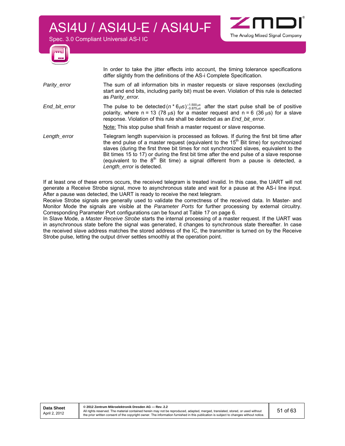Spec. 3.0 Compliant Universal AS-I IC



 In order to take the jitter effects into account, the timing tolerance specifications differ slightly from the definitions of the AS-i Complete Specification.

- *Parity* error The sum of all information bits in master requests or slave responses (excluding start and end bits, including parity bit) must be even. Violation of this rule is detected as *Parity\_error.*
- *End\_bit\_error* The pulse to be detected  $(n * 6 \mu s)^{1.500 \mu s}_{0.875 \mu s}$  after the start pulse shall be of positive polarity, where n = 13 (78  $\mu$ s) for a master request and n = 6 (36  $\mu$ s) for a slave response. Violation of this rule shall be detected as an *End\_bit\_error.*

Note: This stop pulse shall finish a master request or slave response.

Length\_error **Telegram length supervision is processed as follows**. If during the first bit time after the end pulse of a master request (equivalent to the  $15<sup>th</sup>$  Bit time) for synchronized slaves (during the first three bit times for not synchronized slaves, equivalent to the Bit times 15 to 17) or during the first bit time after the end pulse of a slave response (equivalent to the  $8<sup>th</sup>$  Bit time) a signal different from a pause is detected, a *Length\_error* is detected.

If at least one of these errors occurs, the received telegram is treated invalid. In this case, the UART will not generate a Receive Strobe signal, move to asynchronous state and wait for a pause at the AS-i line input. After a pause was detected, the UART is ready to receive the next telegram.

Receive Strobe signals are generally used to validate the correctness of the received data. In Master- and Monitor Mode the signals are visible at the *Parameter Ports* for further processing by external circuitry. Corresponding Parameter Port configurations can be found at Table 17 on page 6.

In Slave Mode, a *Master Receive Strobe* starts the internal processing of a master request. If the UART was in asynchronous state before the signal was generated, it changes to synchronous state thereafter. In case the received slave address matches the stored address of the IC, the transmitter is turned on by the Receive Strobe pulse, letting the output driver settles smoothly at the operation point.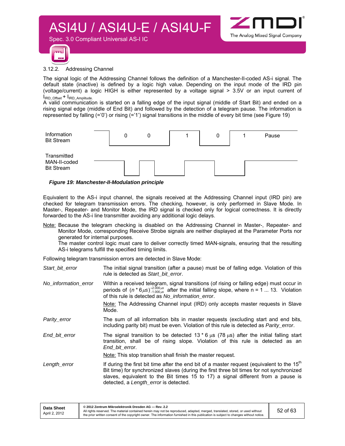



3.12.2. Addressing Channel

Spec. 3.0 Compliant Universal AS-I IC

The signal logic of the Addressing Channel follows the definition of a Manchester-II-coded AS-i signal. The default state (inactive) is defined by a logic high value. Depending on the input mode of the IRD pin (voltage/current) a logic HIGH is either represented by a voltage signal > 3.5V or an input current of  $I_{\text{IRD}}$  Offset +  $I_{\text{IRD}}$  Amplitude.

A valid communication is started on a falling edge of the input signal (middle of Start Bit) and ended on a rising signal edge (middle of End Bit) and followed by the detection of a telegram pause. The information is represented by falling (='0') or rising (='1') signal transitions in the middle of every bit time (see Figure 19)



#### *Figure 19: Manchester-II-Modulation principle*

Equivalent to the AS-i input channel, the signals received at the Addressing Channel input (IRD pin) are checked for telegram transmission errors. The checking, however, is only performed in Slave Mode. In Master-, Repeater- and Monitor Mode, the IRD signal is checked only for logical correctness. It is directly forwarded to the AS-i line transmitter avoiding any additional logic delays.

Note: Because the telegram checking is disabled on the Addressing Channel in Master-, Repeater- and Monitor Mode, corresponding Receive Strobe signals are neither displayed at the Parameter Ports nor generated for internal purposes.

The master control logic must care to deliver correctly timed MAN-signals, ensuring that the resulting AS-i telegrams fulfill the specified timing limits.

Following telegram transmission errors are detected in Slave Mode:

| Start bit error      | The initial signal transition (after a pause) must be of falling edge. Violation of this<br>rule is detected as Start bit error.                                                                                                                                                                                                |
|----------------------|---------------------------------------------------------------------------------------------------------------------------------------------------------------------------------------------------------------------------------------------------------------------------------------------------------------------------------|
| No information error | Within a received telegram, signal transitions (of rising or falling edge) must occur in<br>periods of $(n * 6\mu s)_{-1.000\mu s}^{+2.000\mu s}$ after the initial falling slope, where n = 1  13. Violation<br>of this rule is detected as No_information_error.                                                              |
|                      | Note: The Addressing Channel input (IRD) only accepts master requests in Slave<br>Mode.                                                                                                                                                                                                                                         |
| Parity error         | The sum of all information bits in master requests (excluding start and end bits,<br>including parity bit) must be even. Violation of this rule is detected as <i>Parity error</i> .                                                                                                                                            |
| End bit error        | The signal transition to be detected 13 $*$ 6 $\mu$ s (78 $\mu$ s) after the initial falling start<br>transition, shall be of rising slope. Violation of this rule is detected as an<br>End bit error.                                                                                                                          |
|                      | Note: This stop transition shall finish the master request.                                                                                                                                                                                                                                                                     |
| Length_error         | If during the first bit time after the end bit of a master request (equivalent to the 15 <sup>th</sup><br>Bit time) for synchronized slaves (during the first three bit times for not synchronized<br>slaves, equivalent to the Bit times 15 to 17) a signal different from a pause is<br>detected, a Length_error is detected. |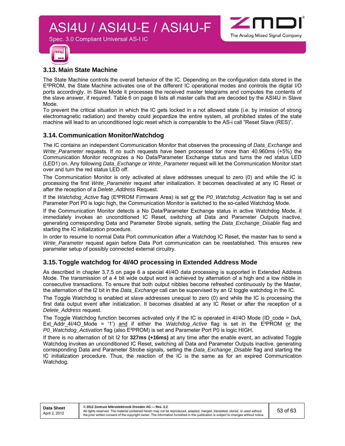

#### **3.13. Main State Machine**

Spec. 3.0 Compliant Universal AS-I IC

The State Machine controls the overall behavior of the IC. Depending on the configuration data stored in the E²PROM, the State Machine activates one of the different IC operational modes and controls the digital I/O ports accordingly. In Slave Mode it processes the received master telegrams and computes the contents of the slave answer, if required. Table 6 on page 6 lists all master calls that are decoded by the ASI4U in Slave Mode.

To prevent the critical situation in which the IC gets locked in a not allowed state (i.e. by imission of strong electromagnetic radiation) and thereby could jeopardize the entire system, all prohibited states of the state machine will lead to an unconditioned logic reset which is comparable to the AS-i call "Reset Slave (RES)".

#### **3.14. Communication Monitor/Watchdog**

The IC contains an independent Communication Monitor that observes the processing of *Data\_Exchange* and *Write\_Parameter* requests. If no such requests have been processed for more than 40.960ms (+5%) the Communication Monitor recognizes a No Data/Parameter Exchange status and turns the red status LED (LED1) on. Any following *Data\_Exchange* or *Write\_Parameter* request will let the Communication Monitor start over and turn the red status LED off.

The Communication Monitor is only activated at slave addresses unequal to zero (0) and while the IC is processing the first *Write\_Parameter* request after initialization. It becomes deactivated at any IC Reset or after the reception of a *Delete\_Address* Request.

If the *Watchdog\_Active* flag (E²PROM Firmware Area) is set or the *P0\_Watchdog\_Activation* flag is set and Parameter Port P0 is logic high, the Communication Monitor is switched to the so-called Watchdog Mode.

If the Communication Monitor detects a No Data/Parameter Exchange status in active Watchdog Mode, it immediately invokes an unconditioned IC Reset, switching all Data and Parameter Outputs inactive, generating corresponding Data and Parameter Strobe signals, setting the *Data\_Exchange\_Disable* flag and starting the IC initialization procedure.

In order to resume to normal Data Port communication after *a* Watchdog IC Reset, the master has to send a *Write\_Parameter* request again before Data Port communication can be reestablished. This ensures new parameter setup of possibly connected external circuitry.

#### **3.15. Toggle watchdog for 4I/4O processing in Extended Address Mode**

As described in chapter 3.7.5 on page 6 a special 4I/4O data processing is supported in Extended Address Mode. The transmission of a 4 bit wide output word is achieved by alternation of a high and a low nibble in consecutive transactions. To ensure that both output nibbles become refreshed continuously by the Master, the alternation of the I2 bit in the *Data\_Exchange* call can be supervised by an I2 toggle watchdog in the IC.

The Toggle Watchdog is enabled at slave addresses unequal to zero (0) and while the IC is processing the first data output event after initialization. It becomes disabled at any IC Reset or after the reception of a *Delete\_Address* request.

The Toggle Watchdog function becomes activated only if the IC is operated in 4I/4O Mode (ID code = 0xA, Ext\_Addr\_4I/4O\_Mode = '1') and if either the *Watchdog\_Active* flag is set in the E²PROM or the *P0\_Watchdog\_Activation* flag (also E²PROM) is set and Parameter Port P0 is logic HIGH.

If there is no alternation of bit I2 for **327ms (+16ms)** at any time after the enable event, an activated Toggle Watchdog invokes an unconditioned IC Reset, switching all Data and Parameter Outputs inactive, generating corresponding Data and Parameter Strobe signals, setting the *Data\_Exchange\_Disable* flag and starting the IC initialization procedure. Thus, the reaction of the IC is the same as for an expired Communication Watchdog.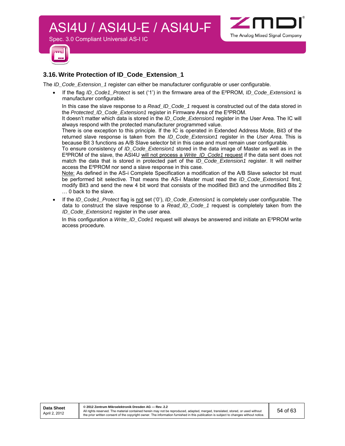



#### **3.16. Write Protection of ID\_Code\_Extension\_1**

Spec. 3.0 Compliant Universal AS-I IC

The *ID\_Code\_Extension\_1* register can either be manufacturer configurable or user configurable.

 If the flag *ID\_Code1\_Protect* is set ('1') in the firmware area of the E²PROM, *ID\_Code\_Extension1* is manufacturer configurable.

In this case the slave response to a *Read ID Code 1* request is constructed out of the data stored in the *Protected\_ID\_Code\_Extension1* register in Firmware Area of the E²PROM.

It doesn't matter which data is stored in the *ID\_Code\_Extension1* register in the User Area. The IC will always respond with the protected manufacturer programmed value.

There is one exception to this principle. If the IC is operated in Extended Address Mode, Bit3 of the returned slave response is taken from the *ID\_Code\_Extension1* register in the *User Area*. This is because Bit 3 functions as A/B Slave selector bit in this case and must remain user configurable.

To ensure consistency of *ID\_Code\_Extension1* stored in the data image of Master as well as in the E²PROM of the slave, the ASI4U will not process a *Write\_ID\_Code1* request if the data sent does not match the data that is stored in protected part of the *ID\_Code\_Extension1* register. It will neither access the E²PROM nor send a slave response in this case.

Note: As defined in the AS-i Complete Specification a modification of the A/B Slave selector bit must be performed bit selective. That means the AS-i Master must read the *ID\_Code\_Extension1* first, modify Bit3 and send the new 4 bit word that consists of the modified Bit3 and the unmodified Bits 2 … 0 back to the slave.

 If the *ID\_Code1\_Protect* flag is not set ('0'), *ID\_Code\_Extension1* is completely user configurable. The data to construct the slave response to a *Read\_ID\_Code\_1* request is completely taken from the *ID\_Code\_Extension1* register in the user area.

In this configuration a *Write\_ID\_Code1* request will always be answered and initiate an E²PROM write access procedure.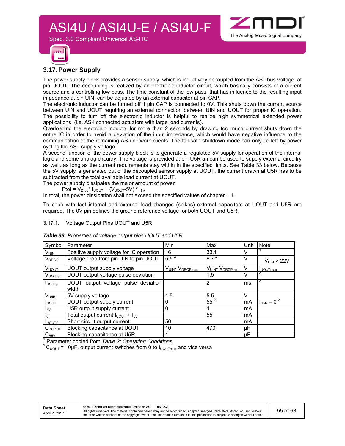



#### **3.17. Power Supply**

The power supply block provides a sensor supply, which is inductively decoupled from the AS-i bus voltage, at pin UOUT. The decoupling is realized by an electronic inductor circuit, which basically consists of a current source and a controlling low pass. The time constant of the low pass, that has influence to the resulting input impedance at pin UIN, can be adjusted by an external capacitor at pin CAP.

The electronic inductor can be turned off if pin CAP is connected to 0V. This shuts down the current source between UIN and UOUT requiring an external connection between UIN and UOUT for proper IC operation. The possibility to turn off the electronic inductor is helpful to realize high symmetrical extended power applications (i.e. AS-i connected actuators with large load currents).

Overloading the electronic inductor for more than 2 seconds by drawing too much current shuts down the entire IC in order to avoid a deviation of the input impedance, which would have negative influence to the communication of the remaining AS-i network clients. The fail-safe shutdown mode can only be left by power cycling the AS-i supply voltage.

A second function of the power supply block is to generate a regulated 5V supply for operation of the internal logic and some analog circuitry. The voltage is provided at pin U5R an can be used to supply external circuitry as well, as long as the current requirements stay within in the specified limits. See Table 33 below. Because the 5V supply is generated out of the decoupled sensor supply at UOUT, the current drawn at U5R has to be subtracted from the total available load current at UOUT.

The power supply dissipates the major amount of power:

Ptot =  $V_{Drop}$ \*  $I_{UOUT}$  +  $(V_{UOUT}$ -5V) \*  $I_{5V}$ 

Spec. 3.0 Compliant Universal AS-I IC

In total, the power dissipation shall not exceed the specified values of chapter 1.1.

To cope with fast internal and external load changes (spikes) external capacitors at UOUT and U5R are required. The 0V pin defines the ground reference voltage for both UOUT and U5R.

#### 3.17.1. Voltage Output Pins UOUT and U5R

| Parameter                                    | Min            | Max                                                                              | Unit                | <b>Note</b>                       |
|----------------------------------------------|----------------|----------------------------------------------------------------------------------|---------------------|-----------------------------------|
| Positive supply voltage for IC operation     | 16             | 33.1                                                                             | V                   |                                   |
| Voltage drop from pin UIN to pin UOUT        |                |                                                                                  | v                   | $V_{UIN}$ > 22V                   |
| UOUT output supply voltage                   | VUIN- VDROPmax | VUIN- VDROPmin                                                                   | v                   | <b>I</b> UOUTmax                  |
| UOUT output voltage pulse deviation          |                | 1.5                                                                              | V                   |                                   |
| UOUT output voltage pulse deviation<br>width |                | 2                                                                                | ms                  | 2                                 |
| 5V supply voltage                            | 4.5            | 5.5                                                                              | V                   |                                   |
| UOUT output supply current                   | 0              |                                                                                  | mA                  | $I_{\text{U5R}}$ = 0 <sup>2</sup> |
| U5R output supply current                    | 0              | 4                                                                                | mA                  |                                   |
| Total output current $I_{UOUT} + I_{5V}$     |                | 55                                                                               | mA                  |                                   |
| Short circuit output current                 | 50             |                                                                                  | mA                  |                                   |
| Blocking capacitance at UOUT                 | 10             | 470                                                                              | μF                  |                                   |
| Blocking capacitance at U5R                  |                |                                                                                  | μF                  |                                   |
|                                              |                | $5.5^{2}$<br>$\overline{1}$ Descended control from Teble 0. One retire Occultive | $6.7^{2}$<br>$55^2$ |                                   |

*Table 33: Properties of voltage output pins UOUT and U5R* 

Parameter copied from Table 2: Operating Conditions

<sup>2</sup> C<sub>UOUT</sub> = 10µF, output current switches from 0 to I<sub>UOUTmax</sub> and vice versa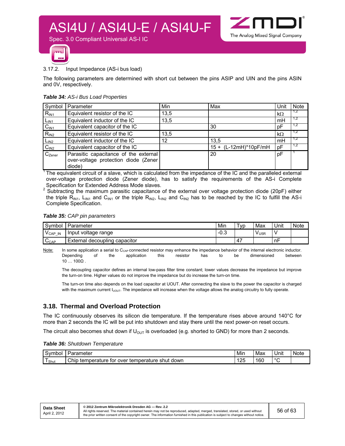

' 63



#### 3.17.2. Input Impedance (AS-i bus load)

Spec. 3.0 Compliant Universal AS-I IC

The following parameters are determined with short cut between the pins ASIP and UIN and the pins ASIN and 0V, respectively.

#### *Table 34: AS-i Bus Load Properties*

| Symbol           | Parameter                                                                               | Min  | Max                   | Unit      | <b>Note</b> |
|------------------|-----------------------------------------------------------------------------------------|------|-----------------------|-----------|-------------|
| $R_{IN1}$        | Equivalent resistor of the IC                                                           | 13,5 |                       | $k\Omega$ | 1,2         |
| $L_{IN1}$        | Equivalent inductor of the IC                                                           | 13,5 |                       | mH        | 1.2         |
| C <sub>IN1</sub> | Equivalent capacitor of the IC                                                          |      | 30                    | рF        | 1,2         |
| $R_{IN2}$        | Equivalent resistor of the IC                                                           | 13,5 |                       | $k\Omega$ | 1.2         |
| L <sub>IN2</sub> | Equivalent inductor of the IC                                                           | 12   | 13,5                  | mH        | 1,2         |
| C <sub>IN2</sub> | Equivalent capacitor of the IC                                                          |      | 15 + (L-12mH)*10pF/mH | рF        | 1,2         |
| $C_{Zener}$      | Parasitic capacitance of the external<br>over-voltage protection diode (Zener<br>diode) |      | 20                    | pF        |             |

 $1$ The equivalent circuit of a slave, which is calculated from the impedance of the IC and the paralleled external over-voltage protection diode (Zener diode), has to satisfy the requirements of the AS-i Complete Specification for Extended Address Mode slaves.

<sup>2</sup> Subtracting the maximum parasitic capacitance of the external over voltage protection diode (20pF) either the triple R<sub>IN1</sub>, L<sub>IN1</sub> and C<sub>IN1</sub> or the triple R<sub>IN2</sub>, L<sub>IN2</sub> and C<sub>IN2</sub> has to be reached by the IC to fulfill the AS-i Complete Specification.

#### *Table 35: CAP pin parameters*

| Symbol             | Parameter                           | Min                   | <b>VD</b> | Max              | Unit | Note |
|--------------------|-------------------------------------|-----------------------|-----------|------------------|------|------|
| IN<br><b>V</b> CAP | Input voltage range                 | $\sim$ $\sim$<br>ن.∪- |           | V <sub>U5R</sub> |      |      |
| ⌒<br>CAP           | capacitor<br>decoupling<br>External |                       |           |                  | nF   |      |

Note: In some application a serial to  $C_{\text{CAP}}$  connected resistor may enhance the impedance behavior of the internal electronic inductor. Depending of the application this resistor has to be dimensioned between  $10...100\Omega$ .

The decoupling capacitor defines an internal low-pass filter time constant; lower values decrease the impedance but improve the turn-on time. Higher values do not improve the impedance but do increase the turn-on time.

The turn-on time also depends on the load capacitor at UOUT. After connecting the slave to the power the capacitor is charged with the maximum current  $I_{\text{UOUT}}$ . The impedance will increase when the voltage allows the analog circuitry to fully operate.

#### **3.18. Thermal and Overload Protection**

The IC continuously observes its silicon die temperature. If the temperature rises above around 140°C for more than 2 seconds the IC will be put into shutdown and stay there until the next power-on reset occurs.

The circuit also becomes shut down if  $U_{\text{OUT}}$  is overloaded (e.g. shorted to GND) for more than 2 seconds.

#### *Table 36: Shutdown Temperature*

| $\overline{\phantom{0}}$<br>Symbol | Parameter                                                         | Mir       | Max | . .<br>Unit | <b>Note</b> |
|------------------------------------|-------------------------------------------------------------------|-----------|-----|-------------|-------------|
| -<br>Shut                          | Chip<br>temperature<br>temperature<br>over<br>down<br>shut<br>tor | つに<br>ے ا | 160 | $\circ$     |             |

| 56 of<br>All rights reserved. The material contained herein may not be reproduced, adapted, merged, translated, stored, or used without<br>April 2, 2012<br>the prior written consent of the copyright owner. The information furnished in this publication is subject to changes without notice. | <b>Data Sheet</b> |
|---------------------------------------------------------------------------------------------------------------------------------------------------------------------------------------------------------------------------------------------------------------------------------------------------|-------------------|
|---------------------------------------------------------------------------------------------------------------------------------------------------------------------------------------------------------------------------------------------------------------------------------------------------|-------------------|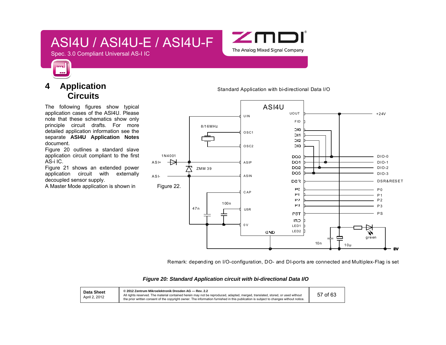

Spec. 3.0 Compliant Universal AS-I IC

### **4 Application Circuits**

m

The following figures show typical application cases of the ASI4U. Please note that these schematics show only principle circuit drafts. For more detailed application information see the separate **ASI4U Application Notes** document.

Figure 20 outlines a standard slave application circuit compliant to the first AS-i IC.

Figure 21 shows an extended power application circuit with externally decoupled sensor supply.

A Master Mode application is shown in Figure 22.

Standard Application with bi-directional Data I/O



Remark: depending on I/O-configuration, DO- and DI-ports are connected and Multiplex-Flag is set

#### *Figure 20: Standard Application circuit with bi-directional Data I/O*

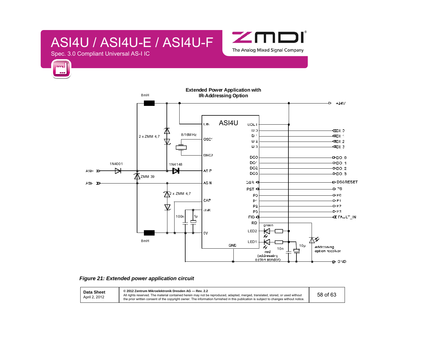Spec. 3.0 Compliant Universal AS-I IC

m



**Extended Power Application with**  8mH**IR-Addressing Option**   $-24V$ ASI4U I.IN UOLT  $10\%$ o⊒¤≫ 8/16M Hz $\mathbf{D}$ ≪DL 2 x ZMM 4,7 osc<sup>2</sup>  $U(2)$ ≪DI 2  $\mathbf{U}$  !? ≪⊡∟३ DSC2 DO<sub>2</sub>  $-$ >DQ\_0 DO<sup>2</sup>  $-$  DO  $-1$ 1N4001 1N4148DO<sub>2</sub>  $-$ PDO $-2$  $\Rightarrow$ Ħ  $A.H - \Sigma$ A-IP DO<sub>3</sub>  $-$ DO $-3$ ZMM 39 DS&RESET AS N ುತ್ತಾ <  $AS - \Sigma$ PST<sup>4</sup>  $D \geq 5$  $\pi$ <sup>2</sup> x ZMM 4,7 Pá  $-$ D-FC CAP  $\mathsf{P}^{\mathcal{A}}$  $-PF1$  $P<sub>2</sub>$  $DF2$  $\rm \nabla$  $15R$ P3  $-0.13$ 100n 1µ  $FID <$ KENPL\_IN 皇 **RD** green ₭ LED2  $\mathbb{C}\mathsf{V}$ ¥⊼ 8mHLED1GND  $\frac{1}{10n}$   $\perp$   $\frac{1}{2}^{10\mu}$ W addressing aption recoiver red (addressing) cetton sender) **D** CND



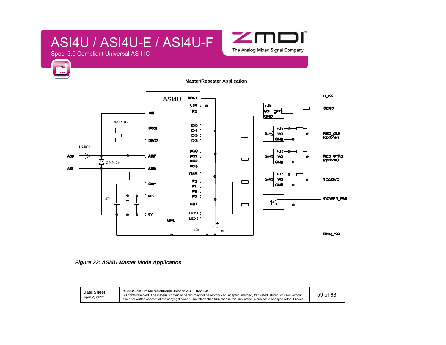

Spec. 3.0 Compliant Universal AS-I IC

m

#### **Master/Repeater Application**



 *Figure 22: ASI4U Master Mode Application* 

**Data Sheet** April 2, 2012

**© 2012 Zentrum Mikroelektronik Dresden AG — Rev. 2.2** .<br>All rights reserved. The material contained herein may not be reproduced, adapted, merged, translated, stored, or used without<br>the prior written consent of the copyright owner. The information furnished in this publicati

59 of 63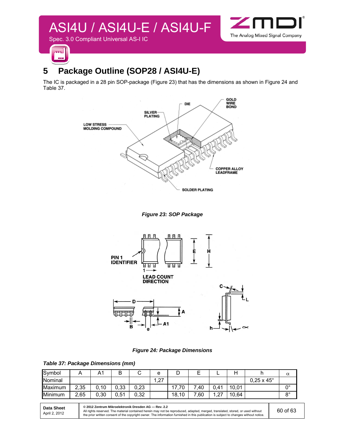



### **5 Package Outline (SOP28 / ASI4U-E)**

The IC is packaged in a 28 pin SOP-package (Figure 23) that has the dimensions as shown in Figure 24 and Table 37.







*Figure 24: Package Dimensions* 

#### *Table 37: Package Dimensions (mm)*

| Symbol         |           |          | D<br>D |      | е   |       | –    | -          |       |                          | $\alpha$    |
|----------------|-----------|----------|--------|------|-----|-------|------|------------|-------|--------------------------|-------------|
| <b>Nominal</b> |           |          |        |      | .27 |       |      |            |       | $0,25 \times 45^{\circ}$ |             |
| Maximum        | 2,35<br>ົ | 10<br>0. | 0,33   | 0,23 |     | 70    | 7.40 | 0.41       | 10.01 |                          | no          |
| Minimum        | 2,65      | 0,30     | 0,51   | 0,32 |     | 18,10 | 7,60 | דר<br>ا ڪي | 10,64 |                          | $8^{\circ}$ |

| <b>Data Sheet</b> | © 2012 Zentrum Mikroelektronik Dresden AG - Rev. 2.2 |                                                                                                                                                                                                                                                                         |          |  |  |
|-------------------|------------------------------------------------------|-------------------------------------------------------------------------------------------------------------------------------------------------------------------------------------------------------------------------------------------------------------------------|----------|--|--|
|                   | April 2, 2012                                        | All rights reserved. The material contained herein may not be reproduced, adapted, merged, translated, stored, or used without<br>the prior written consent of the copyright owner. The information furnished in this publication is subject to changes without notice. | 60 of 63 |  |  |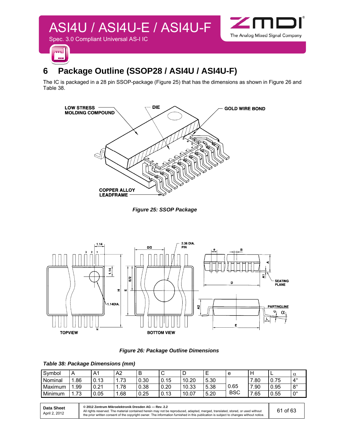

### **6 Package Outline (SSOP28 / ASI4U / ASI4U-F)**

The IC is packaged in a 28 pin SSOP-package (Figure 25) that has the dimensions as shown in Figure 26 and Table 38.



*Figure 25: SSOP Package* 



*Figure 26: Package Outline Dimensions* 

#### *Table 38: Package Dimensions (mm)*

| Symbol  | <u>r</u> |      | A2          | D          | ັ    | ы     | -    | e          |      |            | α                    |
|---------|----------|------|-------------|------------|------|-------|------|------------|------|------------|----------------------|
| Nominal | .86      | 0.13 | 72<br>ن ، ، | 0.30       | 0.15 | 10.20 | 5.30 |            | .80  | 75<br>0.75 | $4^{\circ}$          |
| Maximum | .99      | 0.21 | 78          | 0.38       | 0.20 | 10.33 | 5.38 | 0.65       | '.90 | 0.95       | 0°<br>O              |
| Minimum | 72<br>.  | 0.05 | .68         | つら<br>∪.∠∪ | 0.13 | 10.07 | 5.20 | <b>BSC</b> | .65  | 0.55       | $\mathsf{A}^{\circ}$ |

| <b>Data Sheet</b><br>April 2, 2012 | © 2012 Zentrum Mikroelektronik Dresden AG - Rev. 2.2<br>All rights reserved. The material contained herein may not be reproduced, adapted, merged, translated, stored, or used without<br>the prior written consent of the copyright owner. The information furnished in this publication is subject to changes without notice. | 61 of 63 |
|------------------------------------|---------------------------------------------------------------------------------------------------------------------------------------------------------------------------------------------------------------------------------------------------------------------------------------------------------------------------------|----------|
|------------------------------------|---------------------------------------------------------------------------------------------------------------------------------------------------------------------------------------------------------------------------------------------------------------------------------------------------------------------------------|----------|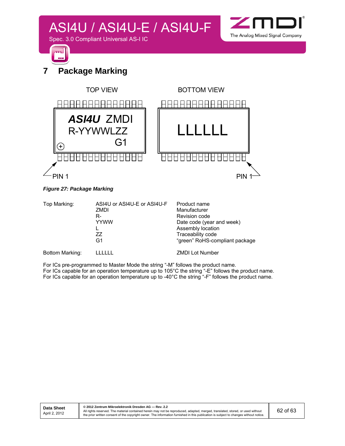



### **7 Package Marking**



#### *Figure 27: Package Marking*

| Top Marking:    | ASI4U or ASI4U-E or ASI4U-F<br>ZMDI<br>R-<br><b>YYWW</b><br>77<br>G1 | Product name<br>Manufacturer<br>Revision code<br>Date code (year and week)<br>Assembly location<br>Traceability code<br>"green" RoHS-compliant package |
|-----------------|----------------------------------------------------------------------|--------------------------------------------------------------------------------------------------------------------------------------------------------|
| Bottom Marking: |                                                                      | <b>ZMDI Lot Number</b>                                                                                                                                 |

For ICs pre-programmed to Master Mode the string "-M" follows the product name. For ICs capable for an operation temperature up to 105°C the string "-E" follows the product name. For ICs capable for an operation temperature up to  $-40^{\circ}$ C the string "-F" follows the product name.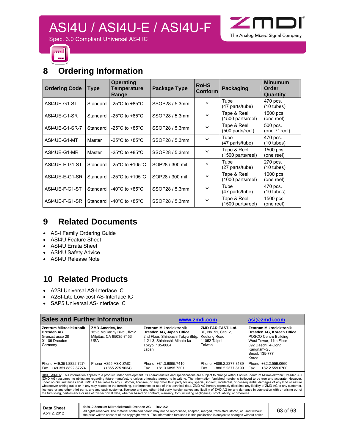

Spec. 3.0 Compliant Universal AS-I IC



### **8 Ordering Information**

| <b>Ordering Code</b> | <b>Type</b> | <b>Operating</b><br>Temperature<br>Range | Package Type    | <b>RoHS</b><br>Conform | Packaging                                                   | <b>Minumum</b><br>Order<br>Quantity |
|----------------------|-------------|------------------------------------------|-----------------|------------------------|-------------------------------------------------------------|-------------------------------------|
| ASI4UE-G1-ST         | Standard    | -25 $^{\circ}$ C to +85 $^{\circ}$ C     | SSOP28 / 5.3mm  | Y                      | Tube<br>(47 parts/tube)                                     | 470 pcs.<br>$(10 \text{ tubes})$    |
| ASI4UE-G1-SR         | Standard    | -25 $^{\circ}$ C to +85 $^{\circ}$ C     | SSOP28 / 5.3mm  | Y                      | Tape & Reel<br>(1500 parts/reel)                            | 1500 pcs.<br>(one reel)             |
| ASI4UE-G1-SR-7       | Standard    | -25°C to +85°C                           | SSOP28 / 5.3mm  | Y                      | Tape & Reel<br>(500 parts/reel)                             | 500 pcs.<br>(one 7" reel)           |
| ASI4UE-G1-MT         | Master      | -25 $^{\circ}$ C to +85 $^{\circ}$ C     | SSOP28 / 5.3mm  | Y                      | Tube<br>(47 parts/tube)                                     | 470 pcs.<br>$(10$ tubes)            |
| ASI4UE-G1-MR         | Master      | -25 $^{\circ}$ C to +85 $^{\circ}$ C     | SSOP28 / 5.3mm  | Y                      | Tape & Reel<br>(1500 parts/reel)                            | 1500 pcs.<br>(one reel)             |
| ASI4UE-E-G1-ST       | Standard    | -25 $^{\circ}$ C to +105 $^{\circ}$ C    | SOP28 / 300 mil | Y                      | Tube<br>(27 parts/tube)                                     | 270 pcs.<br>$(10 \text{ tubes})$    |
| ASI4UE-E-G1-SR       | Standard    | -25 $^{\circ}$ C to +105 $^{\circ}$ C    | SOP28 / 300 mil | Y                      | Tape & Reel<br>(1000 parts/reel)                            | 1000 pcs.<br>(one reel)             |
| ASI4UE-F-G1-ST       | Standard    | -40 $^{\circ}$ C to +85 $^{\circ}$ C     | SSOP28 / 5.3mm  | Y                      | Tube<br>(47 parts/tube)                                     | 470 pcs.<br>$(10$ tubes)            |
| ASI4UE-F-G1-SR       | Standard    | -40°C to +85°C                           | SSOP28 / 5.3mm  | Y                      | Tape & Reel<br>1500 pcs.<br>(1500 parts/reel)<br>(one reel) |                                     |

### **9 Related Documents**

- AS-I Family Ordering Guide
- ASI4U Feature Sheet
- ASI4U Errata Sheet
- ASI4U Safety Advice
- ASI4U Release Note

### **10 Related Products**

- A2SI Universal AS-Interface IC
- A2SI-Lite Low-cost AS-Interface IC
- SAP5 Universal AS-Interface IC

| <b>Sales and Further Information</b>                                                        |                                                                                  | www.zmdi.com                                                                                                                                                     | asi@zmdi.com                                                        |                                                                                                                                                                                |
|---------------------------------------------------------------------------------------------|----------------------------------------------------------------------------------|------------------------------------------------------------------------------------------------------------------------------------------------------------------|---------------------------------------------------------------------|--------------------------------------------------------------------------------------------------------------------------------------------------------------------------------|
| <b>Zentrum Mikroelektronik</b><br>Dresden AG<br>Grenzstrasse 28<br>01109 Dresden<br>Germany | ZMD America, Inc.<br>1525 McCarthy Blvd., #212<br>Milpitas, CA 95035-7453<br>USA | Zentrum Mikroelektronik<br>Dresden AG, Japan Office<br>2nd Floor, Shinbashi Tokyu Bldg. Keelung Road<br>4-21-3. Shinbashi, Minato-ku<br>Tokyo, 105-0004<br>Japan | ZMD FAR EAST, Ltd.<br>3F, No. 51, Sec. 2,<br>11052 Taipei<br>Taiwan | <b>Zentrum Mikroelektronik</b><br>Dresden AG, Korean Office<br>POSCO Centre Building<br>West Tower, 11th Floor<br>892 Daechi, 4-Dong,<br>Kangnam-Gu<br>Seoul. 135-777<br>Korea |
| Phone +49.351.8822.7274<br>Fax +49.351.8822.87274                                           | Phone +855-ASK-ZMDI<br>(+855.275.9634)                                           | Phone +81.3.6895.7410<br>+81.3.6895.7301<br>Fax                                                                                                                  | Phone +886.2.2377.8189<br>+886.2.2377.8199<br>Fax                   | +82.2.559.0660<br>Phone<br>+82.2.559.0700<br>Fax                                                                                                                               |

<u>DISCLAIMER</u>: This information applies to a product under development. Its characteristics and specifications are subject to change without notice. Zentrum Mikroelektronik Dresden AG<br>(ZMD AG) assumes no obligation regardin whatsoever arising out of or in any way related to the furnishing, performance, or use of this technical data. ZMD AG hereby expressly disclaims any liability of ZMD AG to any customer,<br>licensee or any other third party, a the furnishing, performance or use of this technical data, whether based on contract, warranty, tort (including negligence), strict liability, or otherwise.

| <b>Data Sheet</b> |
|-------------------|
| April 2, 2012     |

**© 2012 Zentrum Mikroelektronik Dresden AG — Rev. 2.2**  All rights reserved. The material contained herein may not be reproduced, adapted, merged, translated, stored, or used without<br>the prior written consent of the copyright owner. The information furnished in this publication